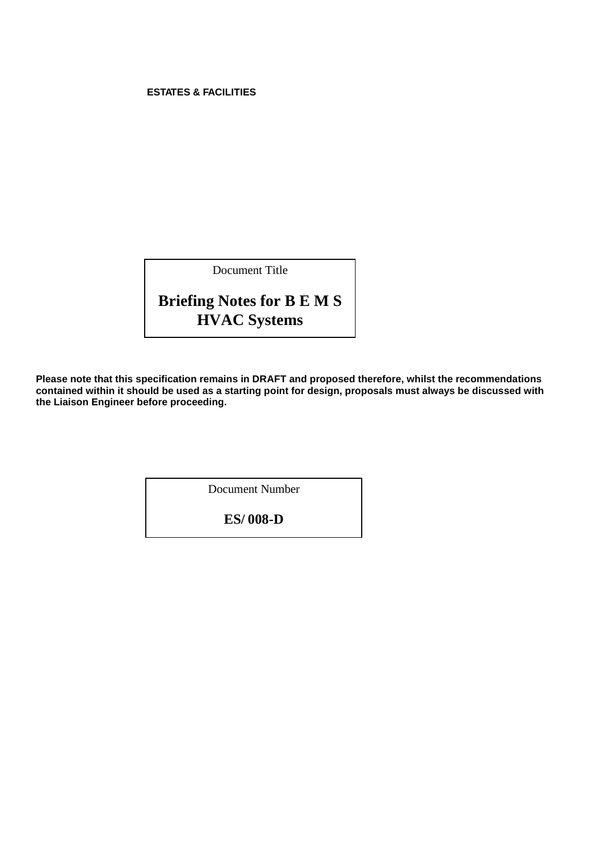## <span id="page-0-1"></span><span id="page-0-0"></span>**ESTATES & FACILITIES**

Document Title

# **Briefing Notes for B E M S HVAC Systems**

**Please note that this specification remains in DRAFT and proposed therefore, whilst the recommendations contained within it should be used as a starting point for design, proposals must always be discussed with the Liaison Engineer before proceeding.** 

Document Number

**ES/ 008-D**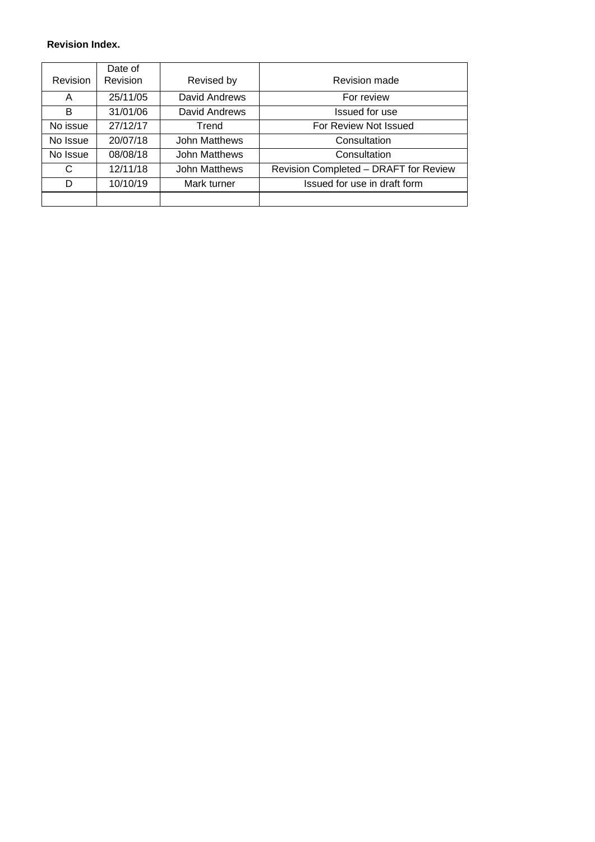## **Revision Index.**

|          | Date of  |                      |                                       |
|----------|----------|----------------------|---------------------------------------|
| Revision | Revision | Revised by           | <b>Revision made</b>                  |
| A        | 25/11/05 | David Andrews        | For review                            |
| B        | 31/01/06 | David Andrews        | Issued for use                        |
| No issue | 27/12/17 | Trend                | For Review Not Issued                 |
| No Issue | 20/07/18 | <b>John Matthews</b> | Consultation                          |
| No Issue | 08/08/18 | <b>John Matthews</b> | Consultation                          |
| C        | 12/11/18 | <b>John Matthews</b> | Revision Completed - DRAFT for Review |
| D        | 10/10/19 | Mark turner          | Issued for use in draft form          |
|          |          |                      |                                       |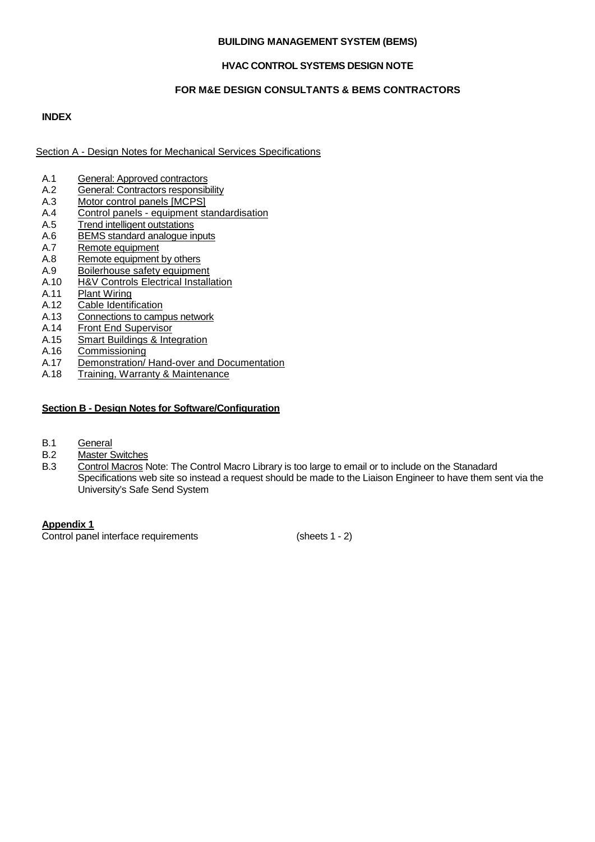## **BUILDING MANAGEMENT SYSTEM (BEMS)**

## **HVAC CONTROL SYSTEMS DESIGN NOTE**

## **FOR M&E DESIGN CONSULTANTS & BEMS CONTRACTORS**

## **INDEX**

Section A - Design Notes for Mechanical Services Specifications

- 
- A.1 General: Approved [contractors](#page-3-0)<br>
A.2 General: Contractors responsib General: Contractors [responsibility](#page-3-1)
- A.3 [Motor control panels \[MCPS\]](#page-7-0)
- A.4 Control panels [equipment standardisation](#page-7-0)<br>A.5 Trend intelligent outstations
- A.5 Trend intelligent [outstations](#page-8-0)<br>A.6 BEMS standard analogue in
- A.6 [BEMS standard analogue inputs](#page-9-0)<br>A.7 Remote equipment
- A.7 Remote [equipment](#page-9-1)<br>A.8 Remote equipment
- A.8 Remote [equipment](#page-11-0) by others<br>A.9 Boilerhouse safety equipme
- A.9 Boilerhouse safety equipment<br>A.10 H&V Controls Electrical Install
- A.10 [H&V Controls Electrical Installation](#page-12-0)<br>A.11 Plant Wiring
- [Plant Wiring](#page-12-1)
- A.12 [Cable Identification](#page-13-0)
- A.13 [Connections](#page-13-1) to campus network<br>A.14 Front End Supervisor
- **[Front End Supervisor](#page-14-0)**
- A.15 [Smart Buildings & Integration](#page-20-0)
- A.16 Commissioning<br>A.17 Demonstration
- [Demonstration/ Hand-over and Documentation](#page-22-0)
- A.18 [Training, Warranty & Maintenance](#page-23-0)

## **Section B - Design Notes for Software/Configuration**

- B.1 [General](#page-24-0)<br>B.2 Master S
- B.2 [Master Switches](#page-24-1)<br>B.3 Control Macros
- Control Macros Note: The Control Macro Library is too large to email or to include on the Stanadard [Specifications web site so instead a request should be made to the](#page-25-0) Liaison Engineer to have them sent via the [University's Safe Send System](#page-25-0)

**[Appendix](#page-36-0) 1**

Control panel interface requirements (sheets 1 - 2)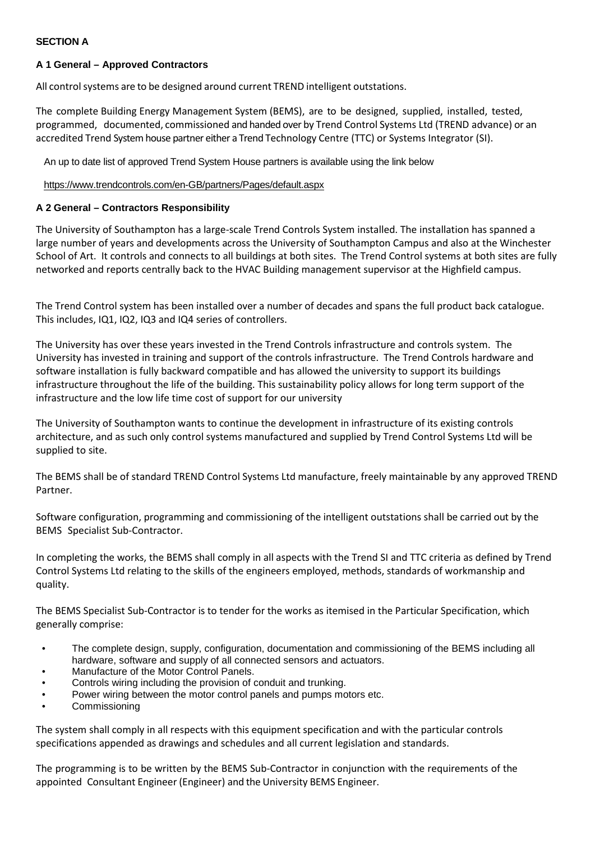## **SECTION A**

## <span id="page-3-0"></span>**A 1 General – Approved Contractors**

All control systems are to be designed around current TREND intelligent outstations.

The complete Building Energy Management System (BEMS), are to be designed, supplied, installed, tested, programmed, documented, commissioned and handed over by Trend Control Systems Ltd (TREND advance) or an accredited Trend System house partner either a Trend Technology Centre (TTC) or Systems Integrator (SI).

An up to date list of approved Trend System House partners is available using the link below

## <https://www.trendcontrols.com/en-GB/partners/Pages/default.aspx>

## <span id="page-3-1"></span>**A 2 General – Contractors Responsibility**

The University of Southampton has a large-scale Trend Controls System installed. The installation has spanned a large number of years and developments across the University of Southampton Campus and also at the Winchester School of Art. It controls and connects to all buildings at both sites. The Trend Control systems at both sites are fully networked and reports centrally back to the HVAC Building management supervisor at the Highfield campus.

The Trend Control system has been installed over a number of decades and spans the full product back catalogue. This includes, IQ1, IQ2, IQ3 and IQ4 series of controllers.

The University has over these years invested in the Trend Controls infrastructure and controls system. The University has invested in training and support of the controls infrastructure. The Trend Controls hardware and software installation is fully backward compatible and has allowed the university to support its buildings infrastructure throughout the life of the building. This sustainability policy allows for long term support of the infrastructure and the low life time cost of support for our university

The University of Southampton wants to continue the development in infrastructure of its existing controls architecture, and as such only control systems manufactured and supplied by Trend Control Systems Ltd will be supplied to site.

The BEMS shall be of standard TREND Control Systems Ltd manufacture, freely maintainable by any approved TREND Partner.

Software configuration, programming and commissioning of the intelligent outstations shall be carried out by the BEMS Specialist Sub-Contractor.

In completing the works, the BEMS shall comply in all aspects with the Trend SI and TTC criteria as defined by Trend Control Systems Ltd relating to the skills of the engineers employed, methods, standards of workmanship and quality.

The BEMS Specialist Sub-Contractor is to tender for the works as itemised in the Particular Specification, which generally comprise:

- The complete design, supply, configuration, documentation and commissioning of the BEMS including all hardware, software and supply of all connected sensors and actuators.
- Manufacture of the Motor Control Panels.
- Controls wiring including the provision of conduit and trunking.
- Power wiring between the motor control panels and pumps motors etc.
- **Commissioning**

The system shall comply in all respects with this equipment specification and with the particular controls specifications appended as drawings and schedules and all current legislation and standards.

The programming is to be written by the BEMS Sub-Contractor in conjunction with the requirements of the appointed Consultant Engineer (Engineer) and the University BEMS Engineer.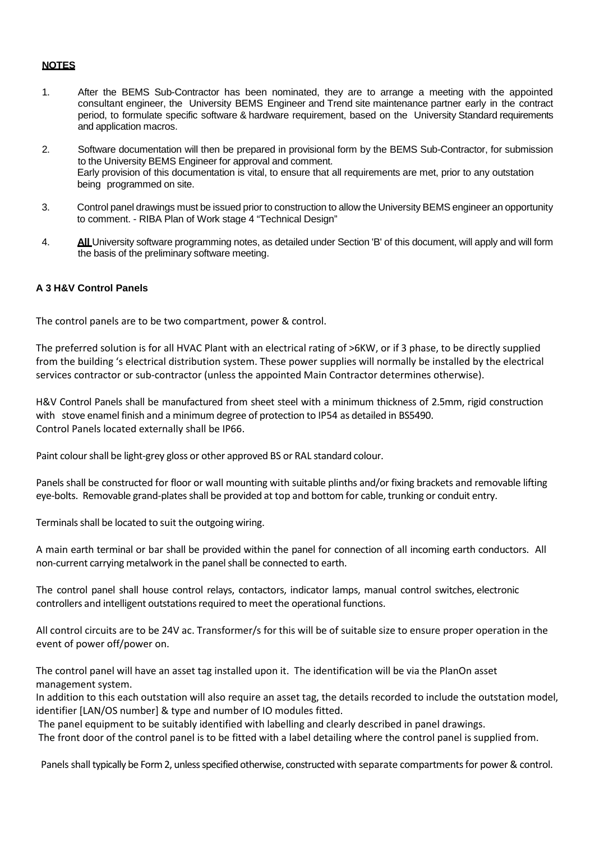## **NOTES**

- 1. After the BEMS Sub-Contractor has been nominated, they are to arrange a meeting with the appointed consultant engineer, the University BEMS Engineer and Trend site maintenance partner early in the contract period, to formulate specific software & hardware requirement, based on the University Standard requirements and application macros.
- 2. Software documentation will then be prepared in provisional form by the BEMS Sub-Contractor, for submission to the University BEMS Engineer for approval and comment. Early provision of this documentation is vital, to ensure that all requirements are met, prior to any outstation being programmed on site.
- 3. Control panel drawings must be issued prior to construction to allow the University BEMS engineer an opportunity to comment. - RIBA Plan of Work stage 4 "Technical Design"
- 4. **All** University software programming notes, as detailed under Section 'B' of this document, will apply and will form the basis of the preliminary software meeting.

## **A 3 H&V Control Panels**

The control panels are to be two compartment, power & control.

The preferred solution is for all HVAC Plant with an electrical rating of >6KW, or if 3 phase, to be directly supplied from the building 's electrical distribution system. These power supplies will normally be installed by the electrical services contractor or sub-contractor (unless the appointed Main Contractor determines otherwise).

H&V Control Panels shall be manufactured from sheet steel with a minimum thickness of 2.5mm, rigid construction with stove enamel finish and a minimum degree of protection to IP54 as detailed in BS5490. Control Panels located externally shall be IP66.

Paint colour shall be light-grey gloss or other approved BS or RAL standard colour.

Panels shall be constructed for floor or wall mounting with suitable plinths and/or fixing brackets and removable lifting eye-bolts. Removable grand-plates shall be provided at top and bottom for cable, trunking or conduit entry.

Terminals shall be located to suit the outgoing wiring.

A main earth terminal or bar shall be provided within the panel for connection of all incoming earth conductors. All non-current carrying metalwork in the panel shall be connected to earth.

The control panel shall house control relays, contactors, indicator lamps, manual control switches, electronic controllers and intelligent outstations required to meet the operational functions.

All control circuits are to be 24V ac. Transformer/s for this will be of suitable size to ensure proper operation in the event of power off/power on.

The control panel will have an asset tag installed upon it. The identification will be via the PlanOn asset management system.

In addition to this each outstation will also require an asset tag, the details recorded to include the outstation model, identifier [LAN/OS number] & type and number of IO modules fitted.

The panel equipment to be suitably identified with labelling and clearly described in panel drawings.

The front door of the control panel is to be fitted with a label detailing where the control panel is supplied from.

Panels shall typically be Form 2, unless specified otherwise, constructed with separate compartments for power & control.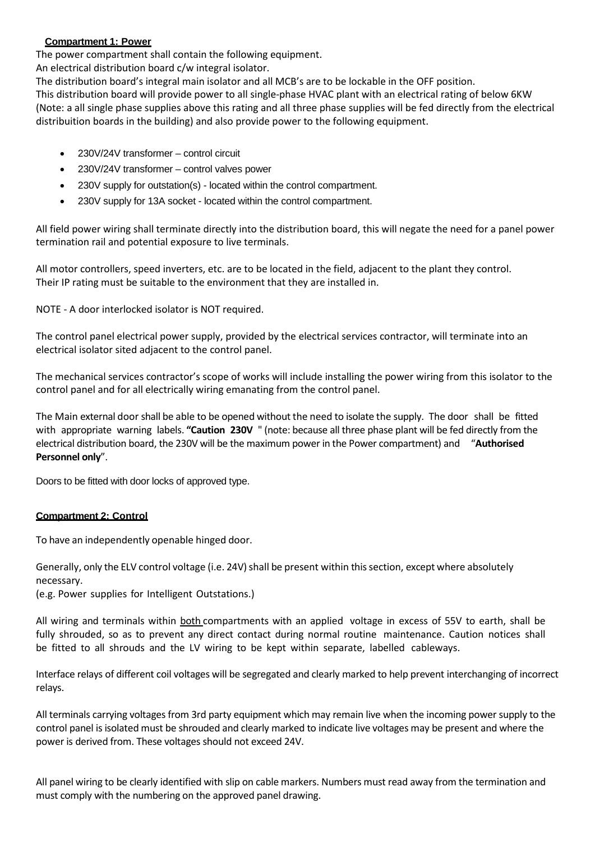## **Compartment 1: Power**

The power compartment shall contain the following equipment.

An electrical distribution board c/w integral isolator.

The distribution board's integral main isolator and all MCB's are to be lockable in the OFF position.

This distribution board will provide power to all single-phase HVAC plant with an electrical rating of below 6KW (Note: a all single phase supplies above this rating and all three phase supplies will be fed directly from the electrical distribuition boards in the building) and also provide power to the following equipment.

- 230V/24V transformer control circuit
- 230V/24V transformer control valves power
- 230V supply for outstation(s) located within the control compartment.
- 230V supply for 13A socket located within the control compartment.

All field power wiring shall terminate directly into the distribution board, this will negate the need for a panel power termination rail and potential exposure to live terminals.

All motor controllers, speed inverters, etc. are to be located in the field, adjacent to the plant they control. Their IP rating must be suitable to the environment that they are installed in.

NOTE - A door interlocked isolator is NOT required.

The control panel electrical power supply, provided by the electrical services contractor, will terminate into an electrical isolator sited adjacent to the control panel.

The mechanical services contractor's scope of works will include installing the power wiring from this isolator to the control panel and for all electrically wiring emanating from the control panel.

The Main external door shall be able to be opened without the need to isolate the supply. The door shall be fitted with appropriate warning labels. **"Caution 230V** " (note: because all three phase plant will be fed directly from the electrical distribution board, the 230V will be the maximum power in the Power compartment) and "**Authorised Personnel only**".

Doors to be fitted with door locks of approved type.

## **Compartment 2: Control**

To have an independently openable hinged door.

Generally, only the ELV control voltage (i.e. 24V) shall be present within this section, except where absolutely necessary.

(e.g. Power supplies for Intelligent Outstations.)

All wiring and terminals within both compartments with an applied voltage in excess of 55V to earth, shall be fully shrouded, so as to prevent any direct contact during normal routine maintenance. Caution notices shall be fitted to all shrouds and the LV wiring to be kept within separate, labelled cableways.

Interface relays of different coil voltages will be segregated and clearly marked to help prevent interchanging of incorrect relays.

All terminals carrying voltages from 3rd party equipment which may remain live when the incoming power supply to the control panel is isolated must be shrouded and clearly marked to indicate live voltages may be present and where the power is derived from. These voltages should not exceed 24V.

All panel wiring to be clearly identified with slip on cable markers. Numbers must read away from the termination and must comply with the numbering on the approved panel drawing.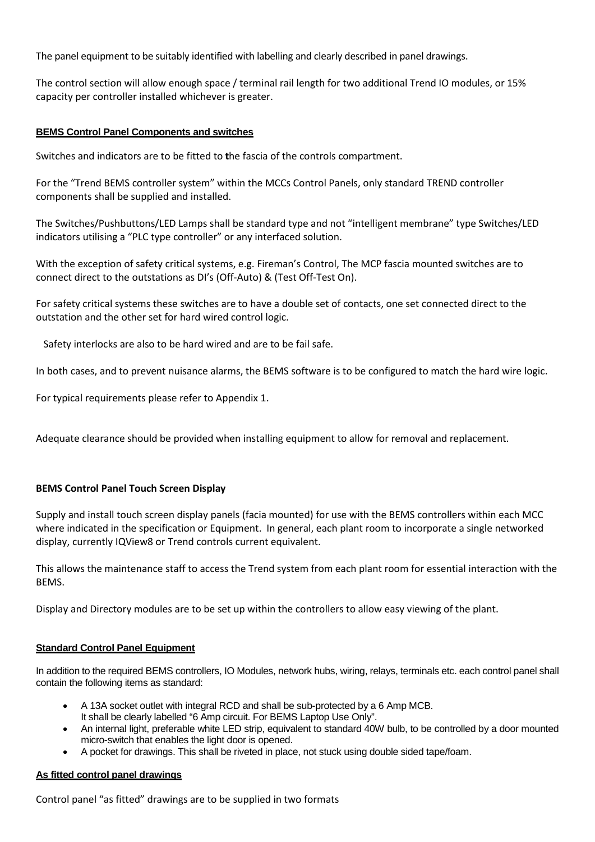The panel equipment to be suitably identified with labelling and clearly described in panel drawings.

The control section will allow enough space / terminal rail length for two additional Trend IO modules, or 15% capacity per controller installed whichever is greater.

#### **BEMS Control Panel Components and switches**

Switches and indicators are to be fitted to **t**he fascia of the controls compartment.

For the "Trend BEMS controller system" within the MCCs Control Panels, only standard TREND controller components shall be supplied and installed.

The Switches/Pushbuttons/LED Lamps shall be standard type and not "intelligent membrane" type Switches/LED indicators utilising a "PLC type controller" or any interfaced solution.

With the exception of safety critical systems, e.g. Fireman's Control, The MCP fascia mounted switches are to connect direct to the outstations as DI's (Off-Auto) & (Test Off-Test On).

For safety critical systems these switches are to have a double set of contacts, one set connected direct to the outstation and the other set for hard wired control logic.

Safety interlocks are also to be hard wired and are to be fail safe.

In both cases, and to prevent nuisance alarms, the BEMS software is to be configured to match the hard wire logic.

For typical requirements please refer to Appendix 1.

Adequate clearance should be provided when installing equipment to allow for removal and replacement.

## **BEMS Control Panel Touch Screen Display**

Supply and install touch screen display panels (facia mounted) for use with the BEMS controllers within each MCC where indicated in the specification or Equipment. In general, each plant room to incorporate a single networked display, currently IQView8 or Trend controls current equivalent.

This allows the maintenance staff to access the Trend system from each plant room for essential interaction with the BEMS.

Display and Directory modules are to be set up within the controllers to allow easy viewing of the plant.

#### **Standard Control Panel Equipment**

In addition to the required BEMS controllers, IO Modules, network hubs, wiring, relays, terminals etc. each control panel shall contain the following items as standard:

- A 13A socket outlet with integral RCD and shall be sub-protected by a 6 Amp MCB.
- It shall be clearly labelled "6 Amp circuit. For BEMS Laptop Use Only".
- An internal light, preferable white LED strip, equivalent to standard 40W bulb, to be controlled by a door mounted micro-switch that enables the light door is opened.
- A pocket for drawings. This shall be riveted in place, not stuck using double sided tape/foam.

## **As fitted control panel drawings**

Control panel "as fitted" drawings are to be supplied in two formats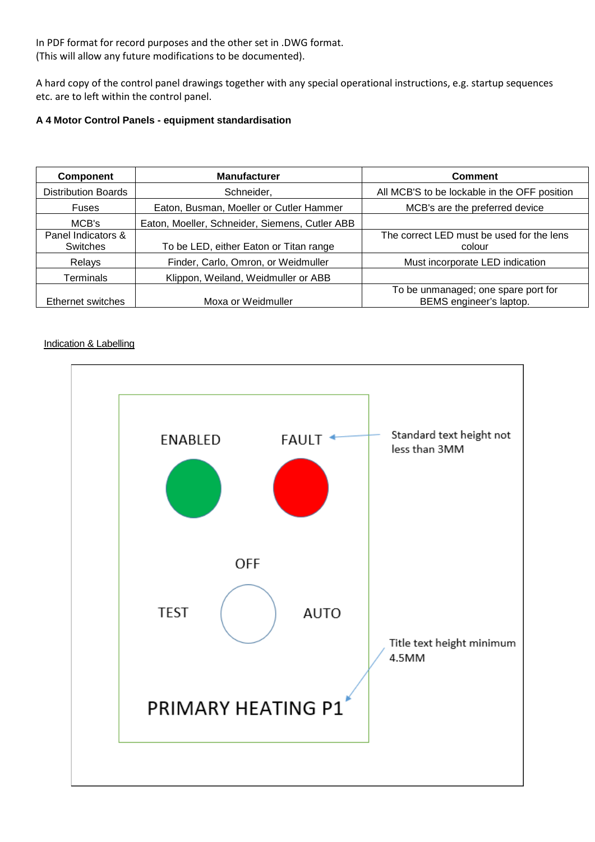In PDF format for record purposes and the other set in .DWG format. (This will allow any future modifications to be documented).

A hard copy of the control panel drawings together with any special operational instructions, e.g. startup sequences etc. are to left within the control panel.

## <span id="page-7-0"></span>**A 4 Motor Control Panels - equipment standardisation**

| <b>Component</b>                      | <b>Manufacturer</b>                            | <b>Comment</b>                                                 |
|---------------------------------------|------------------------------------------------|----------------------------------------------------------------|
| <b>Distribution Boards</b>            | Schneider,                                     | All MCB'S to be lockable in the OFF position                   |
| Fuses                                 | Eaton, Busman, Moeller or Cutler Hammer        | MCB's are the preferred device                                 |
| MCB's                                 | Eaton, Moeller, Schneider, Siemens, Cutler ABB |                                                                |
| Panel Indicators &<br><b>Switches</b> | To be LED, either Eaton or Titan range         | The correct LED must be used for the lens<br>colour            |
| Relays                                | Finder, Carlo, Omron, or Weidmuller            | Must incorporate LED indication                                |
| <b>Terminals</b>                      | Klippon, Weiland, Weidmuller or ABB            |                                                                |
| Ethernet switches                     | Moxa or Weidmuller                             | To be unmanaged; one spare port for<br>BEMS engineer's laptop. |

## **Indication & Labelling**

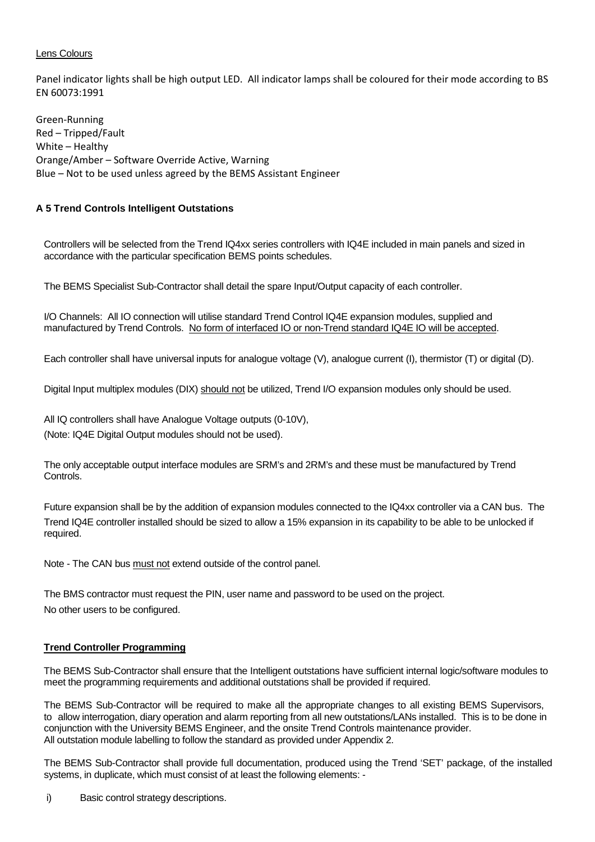## Lens Colours

Panel indicator lights shall be high output LED. All indicator lamps shall be coloured for their mode according to BS EN 60073:1991

Green-Running Red – Tripped/Fault White – Healthy Orange/Amber – Software Override Active, Warning Blue – Not to be used unless agreed by the BEMS Assistant Engineer

## <span id="page-8-0"></span>**A 5 Trend Controls Intelligent Outstations**

Controllers will be selected from the Trend IQ4xx series controllers with IQ4E included in main panels and sized in accordance with the particular specification BEMS points schedules.

The BEMS Specialist Sub-Contractor shall detail the spare Input/Output capacity of each controller.

I/O Channels: All IO connection will utilise standard Trend Control IQ4E expansion modules, supplied and manufactured by Trend Controls. No form of interfaced IO or non-Trend standard IQ4E IO will be accepted.

Each controller shall have universal inputs for analogue voltage (V), analogue current (I), thermistor (T) or digital (D).

Digital Input multiplex modules (DIX) should not be utilized, Trend I/O expansion modules only should be used.

All IQ controllers shall have Analogue Voltage outputs (0-10V), (Note: IQ4E Digital Output modules should not be used).

The only acceptable output interface modules are SRM's and 2RM's and these must be manufactured by Trend Controls.

Future expansion shall be by the addition of expansion modules connected to the IQ4xx controller via a CAN bus. The Trend IQ4E controller installed should be sized to allow a 15% expansion in its capability to be able to be unlocked if required.

Note - The CAN bus must not extend outside of the control panel.

The BMS contractor must request the PIN, user name and password to be used on the project. No other users to be configured.

## **Trend Controller Programming**

The BEMS Sub-Contractor shall ensure that the Intelligent outstations have sufficient internal logic/software modules to meet the programming requirements and additional outstations shall be provided if required.

The BEMS Sub-Contractor will be required to make all the appropriate changes to all existing BEMS Supervisors, to allow interrogation, diary operation and alarm reporting from all new outstations/LANs installed. This is to be done in conjunction with the University BEMS Engineer, and the onsite Trend Controls maintenance provider. All outstation module labelling to follow the standard as provided under Appendix 2.

The BEMS Sub-Contractor shall provide full documentation, produced using the Trend 'SET' package, of the installed systems, in duplicate, which must consist of at least the following elements: -

i) Basic control strategy descriptions.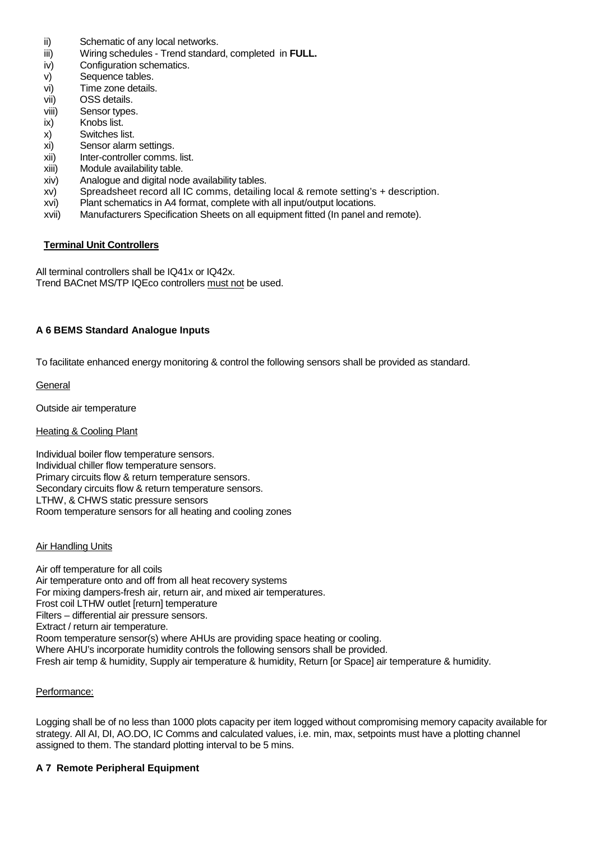- ii) Schematic of any local networks.
- iii) Wiring schedules Trend standard, completed in **FULL.**
- iv) Configuration schematics.
- v) Sequence tables.
- vi) Time zone details.
- vii) OSS details.
- viii) Sensor types.
- ix) Knobs list.
- x) Switches list.
- xi) Sensor alarm settings.
- xii) Inter-controller comms. list.
- xiii) Module availability table.
- xiv) Analogue and digital node availability tables.
- xv) Spreadsheet record all IC comms, detailing local & remote setting's + description.
- xvi) Plant schematics in A4 format, complete with all input/output locations.
- xvii) Manufacturers Specification Sheets on all equipment fitted (In panel and remote).

## **Terminal Unit Controllers**

All terminal controllers shall be IQ41x or IQ42x. Trend BACnet MS/TP IQEco controllers must not be used.

## <span id="page-9-0"></span>**A 6 [BEMS Standard Analogue Inputs](#page-0-0)**

To facilitate enhanced energy monitoring & control the following sensors shall be provided as standard.

**General** 

Outside air temperature

## **Heating & Cooling Plant**

Individual boiler flow temperature sensors. Individual chiller flow temperature sensors. Primary circuits flow & return temperature sensors. Secondary circuits flow & return temperature sensors. LTHW, & CHWS static pressure sensors Room temperature sensors for all heating and cooling zones

## Air Handling Units

Air off temperature for all coils Air temperature onto and off from all heat recovery systems For mixing dampers-fresh air, return air, and mixed air temperatures. Frost coil LTHW outlet [return] temperature Filters – differential air pressure sensors. Extract / return air temperature. Room temperature sensor(s) where AHUs are providing space heating or cooling. Where AHU's incorporate humidity controls the following sensors shall be provided. Fresh air temp & humidity, Supply air temperature & humidity, Return [or Space] air temperature & humidity.

## Performance:

Logging shall be of no less than 1000 plots capacity per item logged without compromising memory capacity available for strategy. All AI, DI, AO.DO, IC Comms and calculated values, i.e. min, max, setpoints must have a plotting channel assigned to them. The standard plotting interval to be 5 mins.

## <span id="page-9-1"></span>**A 7 [Remote Peripheral Equipment](#page-0-0)**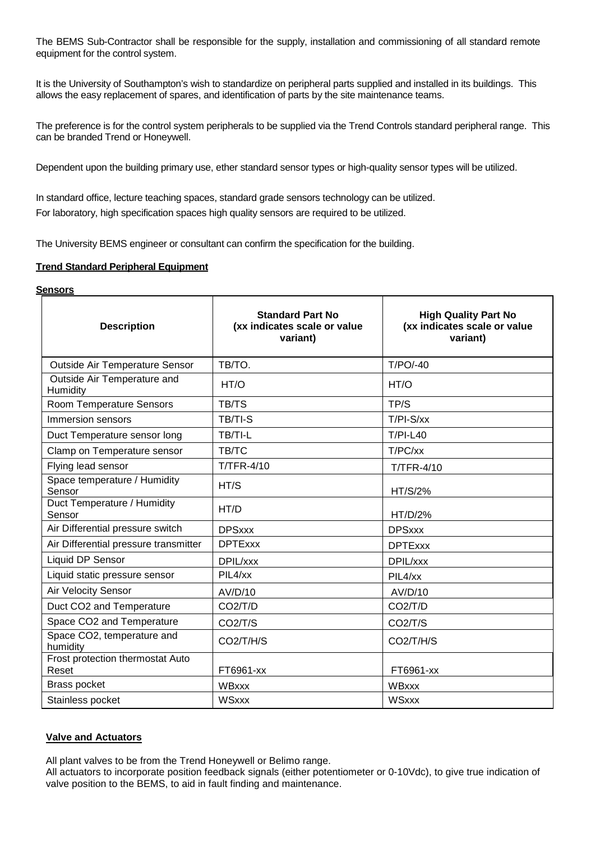The BEMS Sub-Contractor shall be responsible for the supply, installation and commissioning of all standard remote equipment for the control system.

It is the University of Southampton's wish to standardize on peripheral parts supplied and installed in its buildings. This allows the easy replacement of spares, and identification of parts by the site maintenance teams.

The preference is for the control system peripherals to be supplied via the Trend Controls standard peripheral range. This can be branded Trend or Honeywell.

Dependent upon the building primary use, ether standard sensor types or high-quality sensor types will be utilized.

In standard office, lecture teaching spaces, standard grade sensors technology can be utilized. For laboratory, high specification spaces high quality sensors are required to be utilized.

The University BEMS engineer or consultant can confirm the specification for the building.

#### **Trend Standard Peripheral Equipment**

## **Sensors**

| <b>Description</b>                        | <b>Standard Part No</b><br>(xx indicates scale or value<br>variant) | <b>High Quality Part No</b><br>(xx indicates scale or value<br>variant) |
|-------------------------------------------|---------------------------------------------------------------------|-------------------------------------------------------------------------|
| Outside Air Temperature Sensor            | TB/TO.                                                              | $T/PO/-40$                                                              |
| Outside Air Temperature and<br>Humidity   | HT/O                                                                | HT/O                                                                    |
| Room Temperature Sensors                  | TB/TS                                                               | TP/S                                                                    |
| Immersion sensors                         | TB/TI-S                                                             | $T/PI-S/xx$                                                             |
| Duct Temperature sensor long              | TB/TI-L                                                             | $T/PI-L40$                                                              |
| Clamp on Temperature sensor               | TB/TC                                                               | T/PC/xx                                                                 |
| Flying lead sensor                        | <b>T/TFR-4/10</b>                                                   | <b>T/TFR-4/10</b>                                                       |
| Space temperature / Humidity<br>Sensor    | HT/S                                                                | HT/S/2%                                                                 |
| Duct Temperature / Humidity<br>Sensor     | HT/D                                                                | HT/D/2%                                                                 |
| Air Differential pressure switch          | <b>DPSxxx</b>                                                       | <b>DPSxxx</b>                                                           |
| Air Differential pressure transmitter     | <b>DPTExxx</b>                                                      | <b>DPTExxx</b>                                                          |
| Liquid DP Sensor                          | DPIL/xxx                                                            | DPIL/xxx                                                                |
| Liquid static pressure sensor             | PIL4/xx                                                             | PIL4/xx                                                                 |
| Air Velocity Sensor                       | AV/D/10                                                             | AV/D/10                                                                 |
| Duct CO2 and Temperature                  | CO2/T/D                                                             | CO2/T/D                                                                 |
| Space CO2 and Temperature                 | CO <sub>2</sub> /T/S                                                | CO <sub>2</sub> /T/S                                                    |
| Space CO2, temperature and<br>humidity    | CO2/T/H/S                                                           | CO2/T/H/S                                                               |
| Frost protection thermostat Auto<br>Reset | FT6961-xx                                                           | FT6961-xx                                                               |
| Brass pocket                              | <b>WBxxx</b>                                                        | <b>WBxxx</b>                                                            |
| Stainless pocket                          | <b>WSxxx</b>                                                        | <b>WSxxx</b>                                                            |

## **Valve and Actuators**

All plant valves to be from the Trend Honeywell or Belimo range.

All actuators to incorporate position feedback signals (either potentiometer or 0-10Vdc), to give true indication of valve position to the BEMS, to aid in fault finding and maintenance.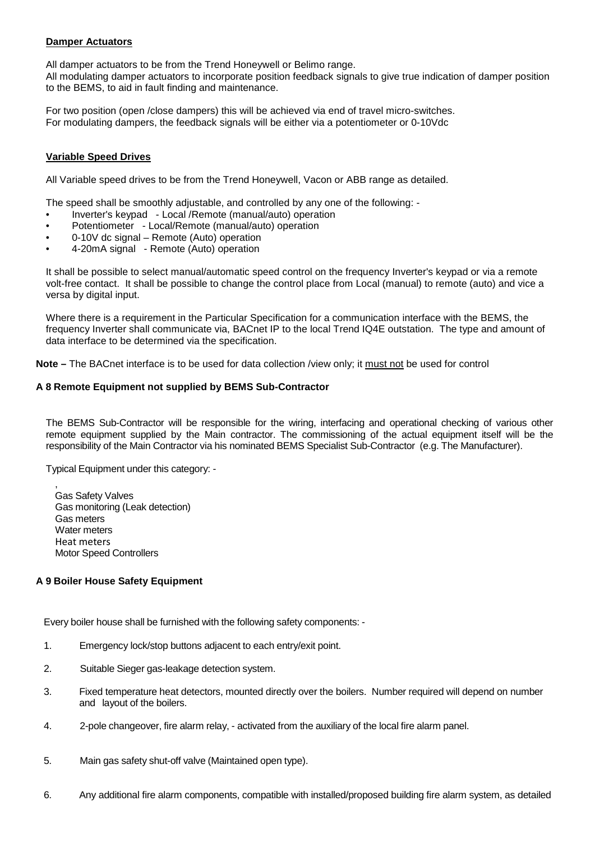## **Damper Actuators**

All damper actuators to be from the Trend Honeywell or Belimo range.

All modulating damper actuators to incorporate position feedback signals to give true indication of damper position to the BEMS, to aid in fault finding and maintenance.

For two position (open /close dampers) this will be achieved via end of travel micro-switches. For modulating dampers, the feedback signals will be either via a potentiometer or 0-10Vdc

#### **Variable Speed Drives**

All Variable speed drives to be from the Trend Honeywell, Vacon or ABB range as detailed.

The speed shall be smoothly adjustable, and controlled by any one of the following: -

- Inverter's keypad Local /Remote (manual/auto) operation
- Potentiometer Local/Remote (manual/auto) operation
- 0-10V dc signal Remote (Auto) operation
- 4-20mA signal Remote (Auto) operation

It shall be possible to select manual/automatic speed control on the frequency Inverter's keypad or via a remote volt-free contact. It shall be possible to change the control place from Local (manual) to remote (auto) and vice a versa by digital input.

Where there is a requirement in the Particular Specification for a communication interface with the BEMS, the frequency Inverter shall communicate via, BACnet IP to the local Trend IQ4E outstation. The type and amount of data interface to be determined via the specification.

**Note –** The BACnet interface is to be used for data collection /view only; it must not be used for control

#### <span id="page-11-0"></span>**A 8 [Remote Equipment not supplied by BEMS](#page-0-0) Sub-Contractor**

The BEMS Sub-Contractor will be responsible for the wiring, interfacing and operational checking of various other remote equipment supplied by the Main contractor. The commissioning of the actual equipment itself will be the responsibility of the Main Contractor via his nominated BEMS Specialist Sub-Contractor (e.g. The Manufacturer).

Typical Equipment under this category: -

, Gas Safety Valves Gas monitoring (Leak detection) Gas meters Water meters Heat meters Motor Speed Controllers

## <span id="page-11-1"></span>**A 9 [Boiler House Safety Equipment](#page-0-0)**

Every boiler house shall be furnished with the following safety components: -

- 1. Emergency lock/stop buttons adjacent to each entry/exit point.
- 2. Suitable Sieger gas-leakage detection system.
- 3. Fixed temperature heat detectors, mounted directly over the boilers. Number required will depend on number and layout of the boilers.
- 4. 2-pole changeover, fire alarm relay, activated from the auxiliary of the local fire alarm panel.
- 5. Main gas safety shut-off valve (Maintained open type).
- 6. Any additional fire alarm components, compatible with installed/proposed building fire alarm system, as detailed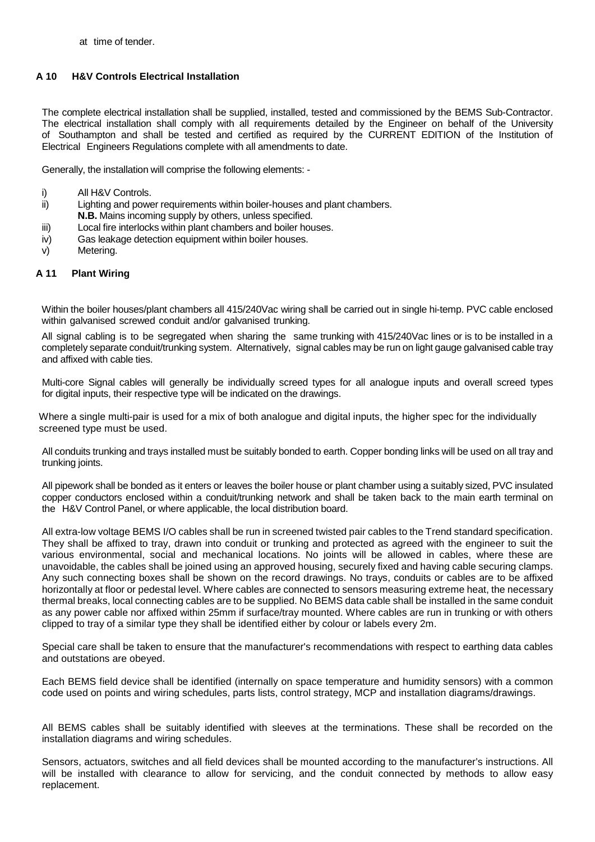## <span id="page-12-0"></span>**A 10 [H&V Controls Electrical Installation](#page-0-0)**

The complete electrical installation shall be supplied, installed, tested and commissioned by the BEMS Sub-Contractor. The electrical installation shall comply with all requirements detailed by the Engineer on behalf of the University of Southampton and shall be tested and certified as required by the CURRENT EDITION of the Institution of Electrical Engineers Regulations complete with all amendments to date.

Generally, the installation will comprise the following elements: -

- i) All H&V Controls.
- ii) Lighting and power requirements within boiler-houses and plant chambers. **N.B.** Mains incoming supply by others, unless specified.
- iii) Local fire interlocks within plant chambers and boiler houses.
- iv) Gas leakage detection equipment within boiler houses.
- v) Metering.

## <span id="page-12-1"></span>**A 11 [Plant Wiring](#page-0-0)**

Within the boiler houses/plant chambers all 415/240Vac wiring shall be carried out in single hi-temp. PVC cable enclosed within galvanised screwed conduit and/or galvanised trunking.

All signal cabling is to be segregated when sharing the same trunking with 415/240Vac lines or is to be installed in a completely separate conduit/trunking system. Alternatively, signal cables may be run on light gauge galvanised cable tray and affixed with cable ties.

Multi-core Signal cables will generally be individually screed types for all analogue inputs and overall screed types for digital inputs, their respective type will be indicated on the drawings.

Where a single multi-pair is used for a mix of both analogue and digital inputs, the higher spec for the individually screened type must be used.

All conduits trunking and trays installed must be suitably bonded to earth. Copper bonding links will be used on all tray and trunking joints.

All pipework shall be bonded as it enters or leaves the boiler house or plant chamber using a suitably sized, PVC insulated copper conductors enclosed within a conduit/trunking network and shall be taken back to the main earth terminal on the H&V Control Panel, or where applicable, the local distribution board.

All extra-low voltage BEMS I/O cables shall be run in screened twisted pair cables to the Trend standard specification. They shall be affixed to tray, drawn into conduit or trunking and protected as agreed with the engineer to suit the various environmental, social and mechanical locations. No joints will be allowed in cables, where these are unavoidable, the cables shall be joined using an approved housing, securely fixed and having cable securing clamps. Any such connecting boxes shall be shown on the record drawings. No trays, conduits or cables are to be affixed horizontally at floor or pedestal level. Where cables are connected to sensors measuring extreme heat, the necessary thermal breaks, local connecting cables are to be supplied. No BEMS data cable shall be installed in the same conduit as any power cable nor affixed within 25mm if surface/tray mounted. Where cables are run in trunking or with others clipped to tray of a similar type they shall be identified either by colour or labels every 2m.

Special care shall be taken to ensure that the manufacturer's recommendations with respect to earthing data cables and outstations are obeyed.

Each BEMS field device shall be identified (internally on space temperature and humidity sensors) with a common code used on points and wiring schedules, parts lists, control strategy, MCP and installation diagrams/drawings.

All BEMS cables shall be suitably identified with sleeves at the terminations. These shall be recorded on the installation diagrams and wiring schedules.

Sensors, actuators, switches and all field devices shall be mounted according to the manufacturer's instructions. All will be installed with clearance to allow for servicing, and the conduit connected by methods to allow easy replacement.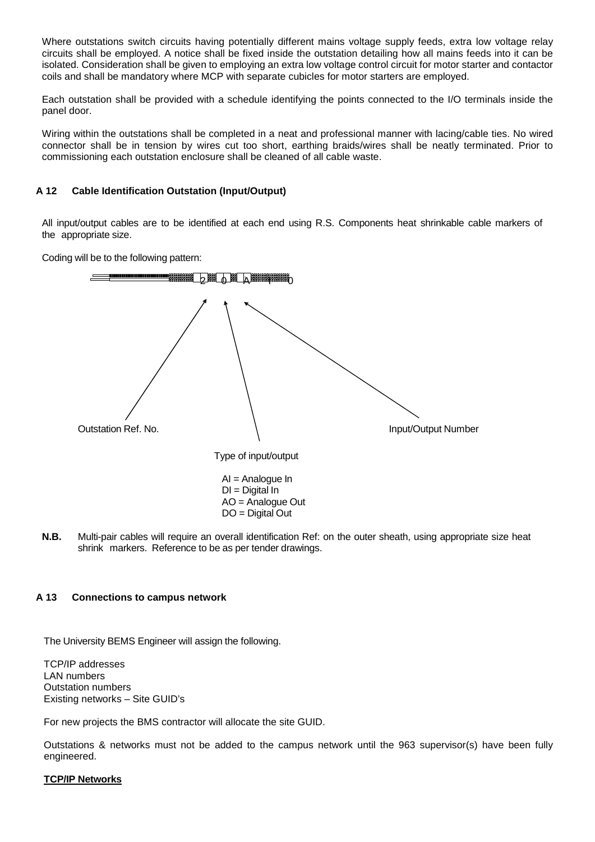Where outstations switch circuits having potentially different mains voltage supply feeds, extra low voltage relay circuits shall be employed. A notice shall be fixed inside the outstation detailing how all mains feeds into it can be isolated. Consideration shall be given to employing an extra low voltage control circuit for motor starter and contactor coils and shall be mandatory where MCP with separate cubicles for motor starters are employed.

Each outstation shall be provided with a schedule identifying the points connected to the I/O terminals inside the panel door.

Wiring within the outstations shall be completed in a neat and professional manner with lacing/cable ties. No wired connector shall be in tension by wires cut too short, earthing braids/wires shall be neatly terminated. Prior to commissioning each outstation enclosure shall be cleaned of all cable waste.

#### <span id="page-13-0"></span>**A 12 [Cable Identification Outstation \(Input/Output\)](#page-0-0)**

All input/output cables are to be identified at each end using R.S. Components heat shrinkable cable markers of the appropriate size.

Coding will be to the following pattern:



**N.B.** Multi-pair cables will require an overall identification Ref: on the outer sheath, using appropriate size heat shrink markers. Reference to be as per tender drawings.

#### <span id="page-13-1"></span>**A 13 [Connections to campus network](#page-0-0)**

The University BEMS Engineer will assign the following.

TCP/IP addresses LAN numbers Outstation numbers Existing networks – Site GUID's

For new projects the BMS contractor will allocate the site GUID.

Outstations & networks must not be added to the campus network until the 963 supervisor(s) have been fully engineered.

## **TCP/IP Networks**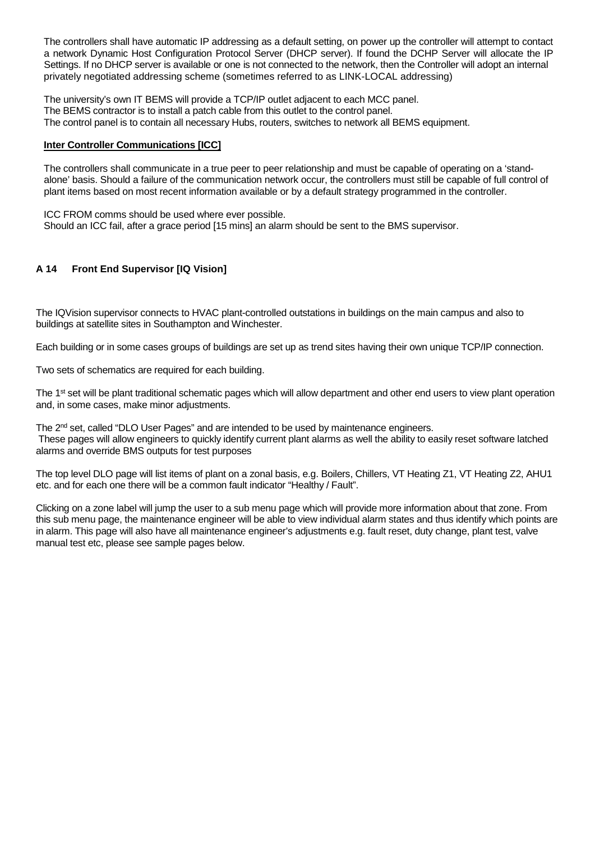The controllers shall have automatic IP addressing as a default setting, on power up the controller will attempt to contact a network Dynamic Host Configuration Protocol Server (DHCP server). If found the DCHP Server will allocate the IP Settings. If no DHCP server is available or one is not connected to the network, then the Controller will adopt an internal privately negotiated addressing scheme (sometimes referred to as LINK-LOCAL addressing)

The university's own IT BEMS will provide a TCP/IP outlet adjacent to each MCC panel. The BEMS contractor is to install a patch cable from this outlet to the control panel. The control panel is to contain all necessary Hubs, routers, switches to network all BEMS equipment.

#### **Inter Controller Communications [ICC]**

The controllers shall communicate in a true peer to peer relationship and must be capable of operating on a 'standalone' basis. Should a failure of the communication network occur, the controllers must still be capable of full control of plant items based on most recent information available or by a default strategy programmed in the controller.

ICC FROM comms should be used where ever possible. Should an ICC fail, after a grace period [15 mins] an alarm should be sent to the BMS supervisor.

## <span id="page-14-0"></span>**A 14 Front End Supervisor [IQ Vision]**

The IQVision supervisor connects to HVAC plant-controlled outstations in buildings on the main campus and also to buildings at satellite sites in Southampton and Winchester.

Each building or in some cases groups of buildings are set up as trend sites having their own unique TCP/IP connection.

Two sets of schematics are required for each building.

The 1<sup>st</sup> set will be plant traditional schematic pages which will allow department and other end users to view plant operation and, in some cases, make minor adjustments.

The 2<sup>nd</sup> set, called "DLO User Pages" and are intended to be used by maintenance engineers. These pages will allow engineers to quickly identify current plant alarms as well the ability to easily reset software latched alarms and override BMS outputs for test purposes

The top level DLO page will list items of plant on a zonal basis, e.g. Boilers, Chillers, VT Heating Z1, VT Heating Z2, AHU1 etc. and for each one there will be a common fault indicator "Healthy / Fault".

Clicking on a zone label will jump the user to a sub menu page which will provide more information about that zone. From this sub menu page, the maintenance engineer will be able to view individual alarm states and thus identify which points are in alarm. This page will also have all maintenance engineer's adjustments e.g. fault reset, duty change, plant test, valve manual test etc, please see sample pages below.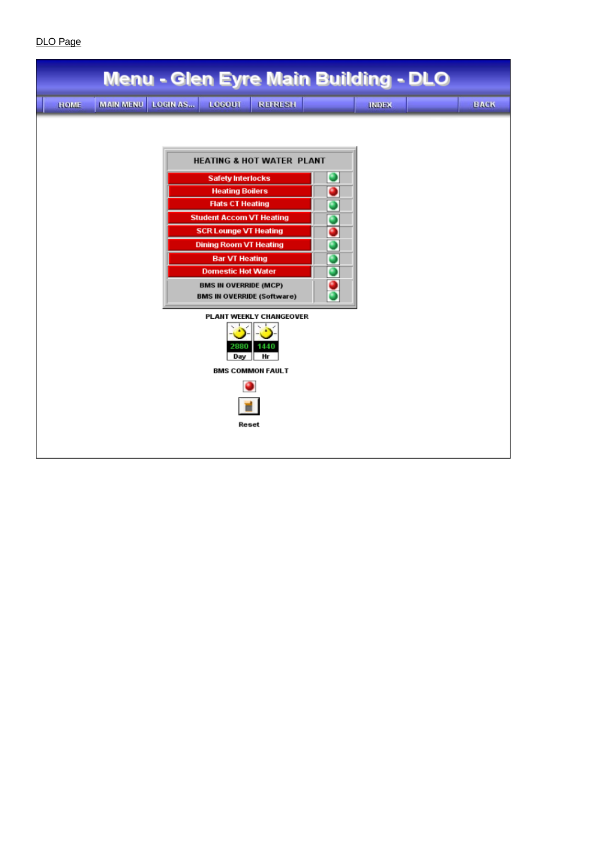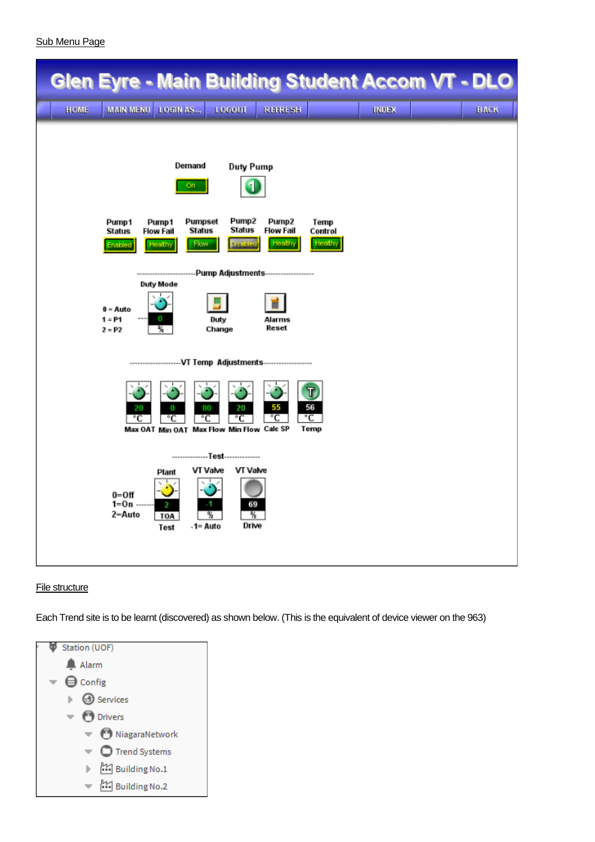| <b>Glen Eyre - Main Building Student Accom VT - DLO</b>                                                                                       |                                                                                                                                                                                               |                                                                            |                            |              |             |
|-----------------------------------------------------------------------------------------------------------------------------------------------|-----------------------------------------------------------------------------------------------------------------------------------------------------------------------------------------------|----------------------------------------------------------------------------|----------------------------|--------------|-------------|
| MAIN MENU LOGIN AS<br>HOME                                                                                                                    | LOGOUT                                                                                                                                                                                        | <b>REFRESH</b>                                                             |                            | <b>INDEX</b> | <b>BACK</b> |
| Pump1<br>Pump1<br><b>Status</b><br><b>Flow Fail</b><br>Healthy<br>Enabled<br><b>Duty Mode</b><br>$0 = Auto$<br>$1 = P1$<br>0<br>₩<br>$2 = P2$ | Demand<br><b>Duty Pump</b><br>On.<br>Pumpset<br>Pump2<br><b>Status</b><br><b>Status</b><br><b>Flow</b><br>usabled<br>-Pump Adjustments------------------<br>---------------<br>Duty<br>Change | Pump <sub>2</sub><br><b>Flow Fail</b><br>Healthy<br><b>Alarms</b><br>Reset | Temp<br>Control<br>Healthy |              |             |
| 20<br>°C                                                                                                                                      | 20<br>0<br>80<br>°C<br>°C<br>°C<br>Max OAT Min OAT Max Flow Min Flow Calc SP                                                                                                                  | 55<br>°C                                                                   | T,<br>56<br>۰c<br>Temp     |              |             |
| $0=Off$<br>$1 = 0n -$<br>2-Auto                                                                                                               | --------------Test--------------<br>VT Valve<br>VT Valve<br>Plant<br>69<br>2<br>-1<br>%.<br>₩<br><b>TOA</b><br>Drive<br>-1= Auto<br>Test                                                      |                                                                            |                            |              |             |

## File structure

Each Trend site is to be learnt (discovered) as shown below. (This is the equivalent of device viewer on the 963)

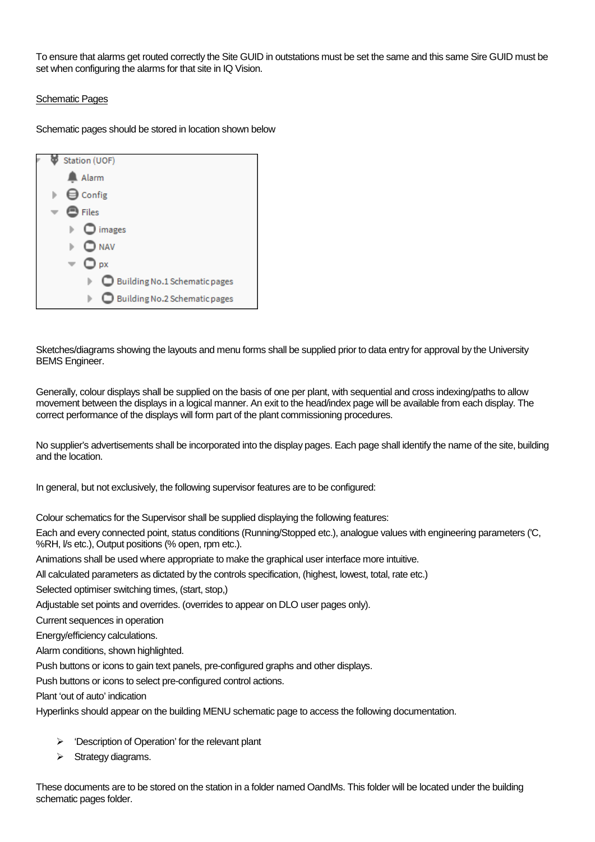To ensure that alarms get routed correctly the Site GUID in outstations must be set the same and this same Sire GUID must be set when configuring the alarms for that site in IQ Vision.

## Schematic Pages

Schematic pages should be stored in location shown below



Sketches/diagrams showing the layouts and menu forms shall be supplied prior to data entry for approval by the University BEMS Engineer.

Generally, colour displays shall be supplied on the basis of one per plant, with sequential and cross indexing/paths to allow movement between the displays in a logical manner. An exit to the head/index page will be available from each display. The correct performance of the displays will form part of the plant commissioning procedures.

No supplier's advertisements shall be incorporated into the display pages. Each page shall identify the name of the site, building and the location.

In general, but not exclusively, the following supervisor features are to be configured:

Colour schematics for the Supervisor shall be supplied displaying the following features:

Each and every connected point, status conditions (Running/Stopped etc.), analogue values with engineering parameters ('C, %RH,  $\sqrt{8}$  etc.), Output positions (% open, rpm etc.).

Animations shall be used where appropriate to make the graphical user interface more intuitive.

All calculated parameters as dictated by the controls specification, (highest, lowest, total, rate etc.)

Selected optimiser switching times, (start, stop,)

Adjustable set points and overrides. (overrides to appear on DLO user pages only).

Current sequences in operation

Energy/efficiency calculations.

Alarm conditions, shown highlighted.

Push buttons or icons to gain text panels, pre-configured graphs and other displays.

Push buttons or icons to select pre-configured control actions.

Plant 'out of auto' indication

Hyperlinks should appear on the building MENU schematic page to access the following documentation.

- $\triangleright$  'Description of Operation' for the relevant plant
- $\triangleright$  Strategy diagrams.

These documents are to be stored on the station in a folder named OandMs. This folder will be located under the building schematic pages folder.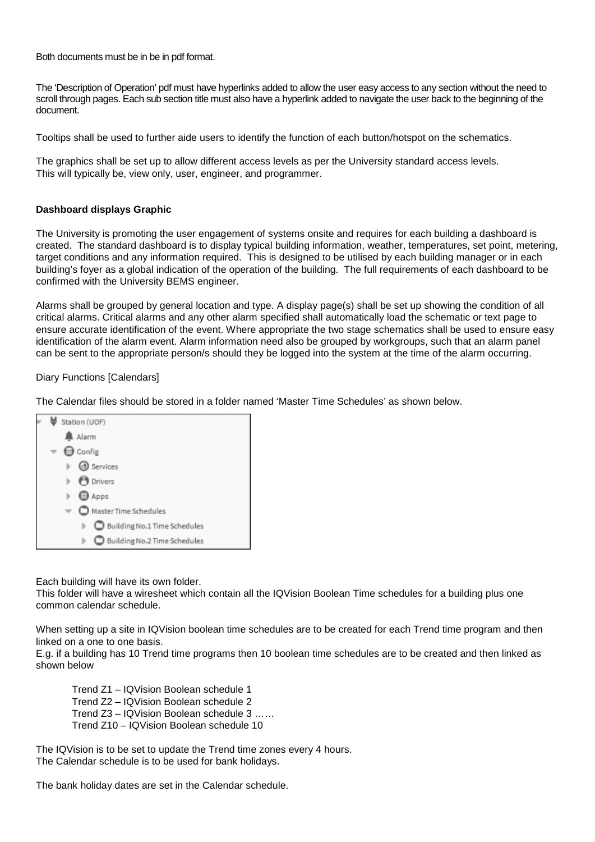Both documents must be in be in pdf format.

The 'Description of Operation' pdf must have hyperlinks added to allow the user easy access to any section without the need to scroll through pages. Each sub section title must also have a hyperlink added to navigate the user back to the beginning of the document.

Tooltips shall be used to further aide users to identify the function of each button/hotspot on the schematics.

The graphics shall be set up to allow different access levels as per the University standard access levels. This will typically be, view only, user, engineer, and programmer.

#### **Dashboard displays Graphic**

The University is promoting the user engagement of systems onsite and requires for each building a dashboard is created. The standard dashboard is to display typical building information, weather, temperatures, set point, metering, target conditions and any information required. This is designed to be utilised by each building manager or in each building's foyer as a global indication of the operation of the building. The full requirements of each dashboard to be confirmed with the University BEMS engineer.

Alarms shall be grouped by general location and type. A display page(s) shall be set up showing the condition of all critical alarms. Critical alarms and any other alarm specified shall automatically load the schematic or text page to ensure accurate identification of the event. Where appropriate the two stage schematics shall be used to ensure easy identification of the alarm event. Alarm information need also be grouped by workgroups, such that an alarm panel can be sent to the appropriate person/s should they be logged into the system at the time of the alarm occurring.

#### Diary Functions [Calendars]

The Calendar files should be stored in a folder named 'Master Time Schedules' as shown below.



Each building will have its own folder.

This folder will have a wiresheet which contain all the IQVision Boolean Time schedules for a building plus one common calendar schedule.

When setting up a site in IQVision boolean time schedules are to be created for each Trend time program and then linked on a one to one basis.

E.g. if a building has 10 Trend time programs then 10 boolean time schedules are to be created and then linked as shown below

Trend Z1 – IQVision Boolean schedule 1 Trend Z2 – IQVision Boolean schedule 2 Trend Z3 – IQVision Boolean schedule 3 …… Trend Z10 – IQVision Boolean schedule 10

The IQVision is to be set to update the Trend time zones every 4 hours. The Calendar schedule is to be used for bank holidays.

The bank holiday dates are set in the Calendar schedule.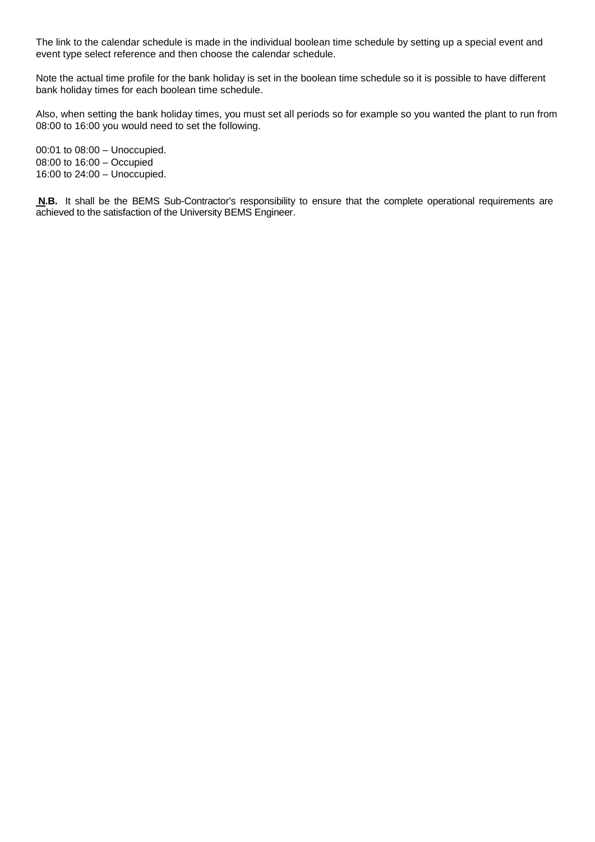The link to the calendar schedule is made in the individual boolean time schedule by setting up a special event and event type select reference and then choose the calendar schedule.

Note the actual time profile for the bank holiday is set in the boolean time schedule so it is possible to have different bank holiday times for each boolean time schedule.

Also, when setting the bank holiday times, you must set all periods so for example so you wanted the plant to run from 08:00 to 16:00 you would need to set the following.

00:01 to 08:00 – Unoccupied. 08:00 to 16:00 – Occupied 16:00 to 24:00 – Unoccupied.

**N.B.** It shall be the BEMS Sub-Contractor's responsibility to ensure that the complete operational requirements are achieved to the satisfaction of the University BEMS Engineer.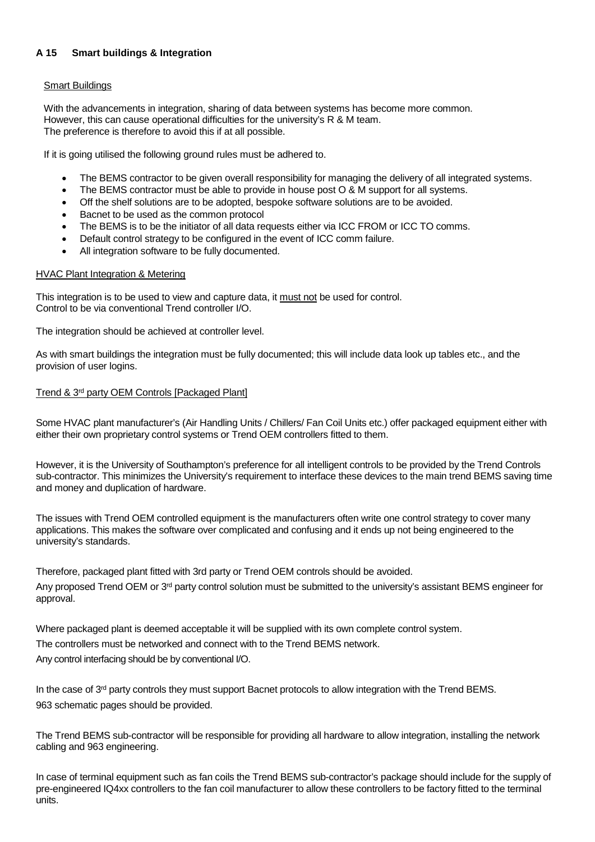## <span id="page-20-0"></span>**A 15 [Smart buildings & Integration](#page-0-0)**

#### Smart Buildings

With the advancements in integration, sharing of data between systems has become more common. However, this can cause operational difficulties for the university's R & M team. The preference is therefore to avoid this if at all possible.

If it is going utilised the following ground rules must be adhered to.

- The BEMS contractor to be given overall responsibility for managing the delivery of all integrated systems.
- The BEMS contractor must be able to provide in house post O & M support for all systems.
- Off the shelf solutions are to be adopted, bespoke software solutions are to be avoided.
- Bacnet to be used as the common protocol
- The BEMS is to be the initiator of all data requests either via ICC FROM or ICC TO comms.
- Default control strategy to be configured in the event of ICC comm failure.
- All integration software to be fully documented.

#### HVAC Plant Integration & Metering

This integration is to be used to view and capture data, it must not be used for control. Control to be via conventional Trend controller I/O.

The integration should be achieved at controller level.

As with smart buildings the integration must be fully documented; this will include data look up tables etc., and the provision of user logins.

#### Trend & 3rd party OEM Controls [Packaged Plant]

Some HVAC plant manufacturer's (Air Handling Units / Chillers/ Fan Coil Units etc.) offer packaged equipment either with either their own proprietary control systems or Trend OEM controllers fitted to them.

However, it is the University of Southampton's preference for all intelligent controls to be provided by the Trend Controls sub-contractor. This minimizes the University's requirement to interface these devices to the main trend BEMS saving time and money and duplication of hardware.

The issues with Trend OEM controlled equipment is the manufacturers often write one control strategy to cover many applications. This makes the software over complicated and confusing and it ends up not being engineered to the university's standards.

Therefore, packaged plant fitted with 3rd party or Trend OEM controls should be avoided.

Any proposed Trend OEM or 3<sup>rd</sup> party control solution must be submitted to the university's assistant BEMS engineer for approval.

Where packaged plant is deemed acceptable it will be supplied with its own complete control system.

The controllers must be networked and connect with to the Trend BEMS network.

Any control interfacing should be by conventional I/O.

In the case of  $3<sup>rd</sup>$  party controls they must support Bacnet protocols to allow integration with the Trend BEMS. 963 schematic pages should be provided.

The Trend BEMS sub-contractor will be responsible for providing all hardware to allow integration, installing the network cabling and 963 engineering.

In case of terminal equipment such as fan coils the Trend BEMS sub-contractor's package should include for the supply of pre-engineered IQ4xx controllers to the fan coil manufacturer to allow these controllers to be factory fitted to the terminal units.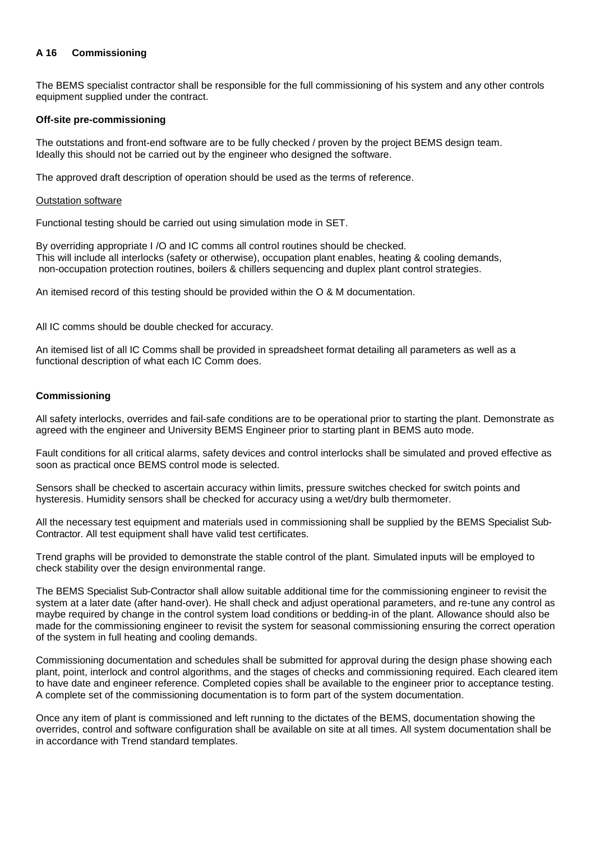## <span id="page-21-0"></span>**A 16 [Commissioning](#page-0-0)**

The BEMS specialist contractor shall be responsible for the full commissioning of his system and any other controls equipment supplied under the contract.

#### **Off-site pre-commissioning**

The outstations and front-end software are to be fully checked / proven by the project BEMS design team. Ideally this should not be carried out by the engineer who designed the software.

The approved draft description of operation should be used as the terms of reference.

#### Outstation software

Functional testing should be carried out using simulation mode in SET.

By overriding appropriate I /O and IC comms all control routines should be checked. This will include all interlocks (safety or otherwise), occupation plant enables, heating & cooling demands, non-occupation protection routines, boilers & chillers sequencing and duplex plant control strategies.

An itemised record of this testing should be provided within the O & M documentation.

All IC comms should be double checked for accuracy.

An itemised list of all IC Comms shall be provided in spreadsheet format detailing all parameters as well as a functional description of what each IC Comm does.

#### **Commissioning**

All safety interlocks, overrides and fail-safe conditions are to be operational prior to starting the plant. Demonstrate as agreed with the engineer and University BEMS Engineer prior to starting plant in BEMS auto mode.

Fault conditions for all critical alarms, safety devices and control interlocks shall be simulated and proved effective as soon as practical once BEMS control mode is selected.

Sensors shall be checked to ascertain accuracy within limits, pressure switches checked for switch points and hysteresis. Humidity sensors shall be checked for accuracy using a wet/dry bulb thermometer.

All the necessary test equipment and materials used in commissioning shall be supplied by the BEMS Specialist Sub-Contractor. All test equipment shall have valid test certificates.

Trend graphs will be provided to demonstrate the stable control of the plant. Simulated inputs will be employed to check stability over the design environmental range.

The BEMS Specialist Sub-Contractor shall allow suitable additional time for the commissioning engineer to revisit the system at a later date (after hand-over). He shall check and adjust operational parameters, and re-tune any control as maybe required by change in the control system load conditions or bedding-in of the plant. Allowance should also be made for the commissioning engineer to revisit the system for seasonal commissioning ensuring the correct operation of the system in full heating and cooling demands.

Commissioning documentation and schedules shall be submitted for approval during the design phase showing each plant, point, interlock and control algorithms, and the stages of checks and commissioning required. Each cleared item to have date and engineer reference. Completed copies shall be available to the engineer prior to acceptance testing. A complete set of the commissioning documentation is to form part of the system documentation.

Once any item of plant is commissioned and left running to the dictates of the BEMS, documentation showing the overrides, control and software configuration shall be available on site at all times. All system documentation shall be in accordance with Trend standard templates.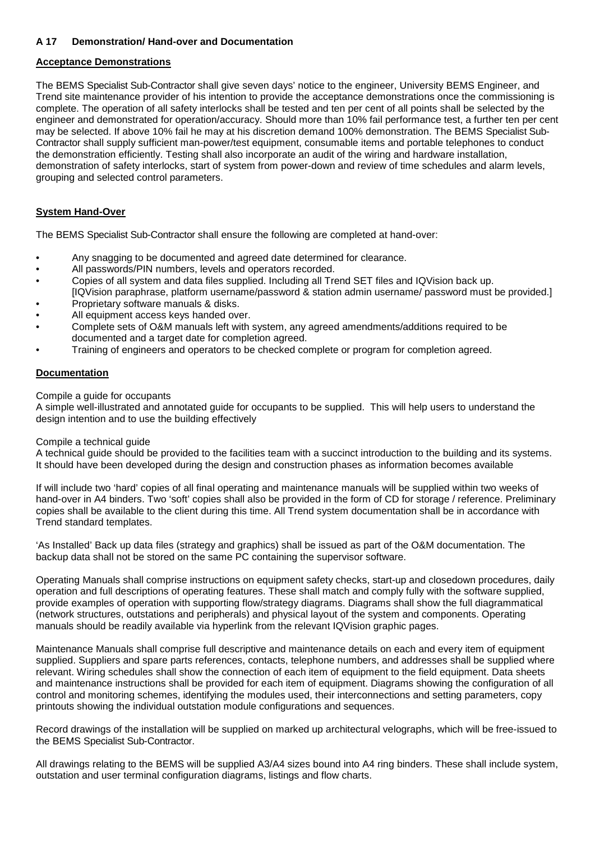## <span id="page-22-0"></span>**A 17 [Demonstration/ Hand-over and Documentation](#page-0-0)**

## **Acceptance Demonstrations**

The BEMS Specialist Sub-Contractor shall give seven days' notice to the engineer, University BEMS Engineer, and Trend site maintenance provider of his intention to provide the acceptance demonstrations once the commissioning is complete. The operation of all safety interlocks shall be tested and ten per cent of all points shall be selected by the engineer and demonstrated for operation/accuracy. Should more than 10% fail performance test, a further ten per cent may be selected. If above 10% fail he may at his discretion demand 100% demonstration. The BEMS Specialist Sub-Contractor shall supply sufficient man-power/test equipment, consumable items and portable telephones to conduct the demonstration efficiently. Testing shall also incorporate an audit of the wiring and hardware installation, demonstration of safety interlocks, start of system from power-down and review of time schedules and alarm levels, grouping and selected control parameters.

## **System Hand-Over**

The BEMS Specialist Sub-Contractor shall ensure the following are completed at hand-over:

- Any snagging to be documented and agreed date determined for clearance.
- All passwords/PIN numbers, levels and operators recorded.
- Copies of all system and data files supplied. Including all Trend SET files and IQVision back up. [IQVision paraphrase, platform username/password & station admin username/ password must be provided.]
- Proprietary software manuals & disks.
- All equipment access keys handed over.
- Complete sets of O&M manuals left with system, any agreed amendments/additions required to be documented and a target date for completion agreed.
- Training of engineers and operators to be checked complete or program for completion agreed.

#### **Documentation**

Compile a guide for occupants

A simple well-illustrated and annotated guide for occupants to be supplied. This will help users to understand the design intention and to use the building effectively

#### Compile a technical guide

A technical guide should be provided to the facilities team with a succinct introduction to the building and its systems. It should have been developed during the design and construction phases as information becomes available

If will include two 'hard' copies of all final operating and maintenance manuals will be supplied within two weeks of hand-over in A4 binders. Two 'soft' copies shall also be provided in the form of CD for storage / reference. Preliminary copies shall be available to the client during this time. All Trend system documentation shall be in accordance with Trend standard templates.

'As Installed' Back up data files (strategy and graphics) shall be issued as part of the O&M documentation. The backup data shall not be stored on the same PC containing the supervisor software.

Operating Manuals shall comprise instructions on equipment safety checks, start-up and closedown procedures, daily operation and full descriptions of operating features. These shall match and comply fully with the software supplied, provide examples of operation with supporting flow/strategy diagrams. Diagrams shall show the full diagrammatical (network structures, outstations and peripherals) and physical layout of the system and components. Operating manuals should be readily available via hyperlink from the relevant IQVision graphic pages.

Maintenance Manuals shall comprise full descriptive and maintenance details on each and every item of equipment supplied. Suppliers and spare parts references, contacts, telephone numbers, and addresses shall be supplied where relevant. Wiring schedules shall show the connection of each item of equipment to the field equipment. Data sheets and maintenance instructions shall be provided for each item of equipment. Diagrams showing the configuration of all control and monitoring schemes, identifying the modules used, their interconnections and setting parameters, copy printouts showing the individual outstation module configurations and sequences.

Record drawings of the installation will be supplied on marked up architectural velographs, which will be free-issued to the BEMS Specialist Sub-Contractor.

All drawings relating to the BEMS will be supplied A3/A4 sizes bound into A4 ring binders. These shall include system, outstation and user terminal configuration diagrams, listings and flow charts.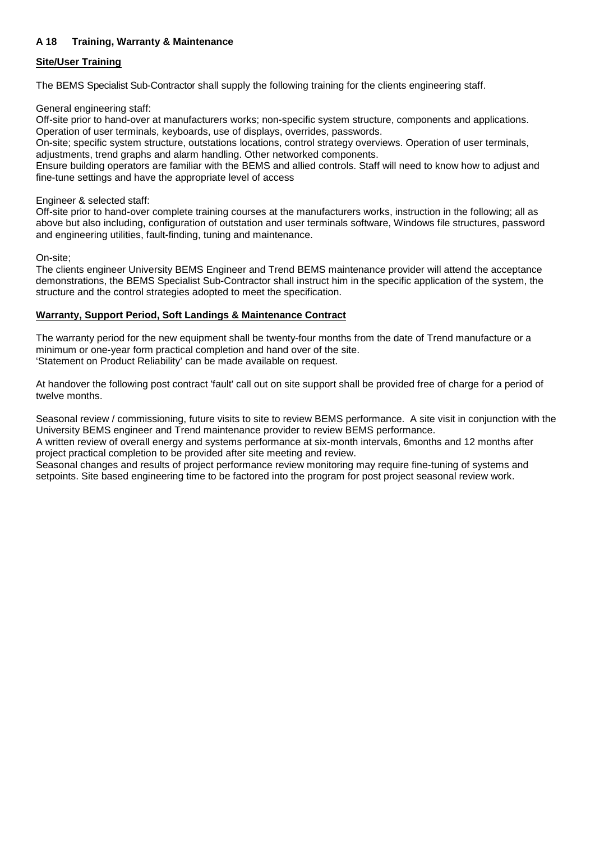## <span id="page-23-0"></span>**A 18 [Training, Warranty & Maintenance](#page-0-0)**

## **Site/User Training**

The BEMS Specialist Sub-Contractor shall supply the following training for the clients engineering staff.

General engineering staff:

Off-site prior to hand-over at manufacturers works; non-specific system structure, components and applications. Operation of user terminals, keyboards, use of displays, overrides, passwords.

On-site; specific system structure, outstations locations, control strategy overviews. Operation of user terminals, adjustments, trend graphs and alarm handling. Other networked components.

Ensure building operators are familiar with the BEMS and allied controls. Staff will need to know how to adjust and fine-tune settings and have the appropriate level of access

Engineer & selected staff:

Off-site prior to hand-over complete training courses at the manufacturers works, instruction in the following; all as above but also including, configuration of outstation and user terminals software, Windows file structures, password and engineering utilities, fault-finding, tuning and maintenance.

On-site;

The clients engineer University BEMS Engineer and Trend BEMS maintenance provider will attend the acceptance demonstrations, the BEMS Specialist Sub-Contractor shall instruct him in the specific application of the system, the structure and the control strategies adopted to meet the specification.

## **Warranty, Support Period, Soft Landings & Maintenance Contract**

The warranty period for the new equipment shall be twenty-four months from the date of Trend manufacture or a minimum or one-year form practical completion and hand over of the site. 'Statement on Product Reliability' can be made available on request.

At handover the following post contract 'fault' call out on site support shall be provided free of charge for a period of twelve months.

Seasonal review / commissioning, future visits to site to review BEMS performance. A site visit in conjunction with the University BEMS engineer and Trend maintenance provider to review BEMS performance.

A written review of overall energy and systems performance at six-month intervals, 6months and 12 months after project practical completion to be provided after site meeting and review.

Seasonal changes and results of project performance review monitoring may require fine-tuning of systems and setpoints. Site based engineering time to be factored into the program for post project seasonal review work.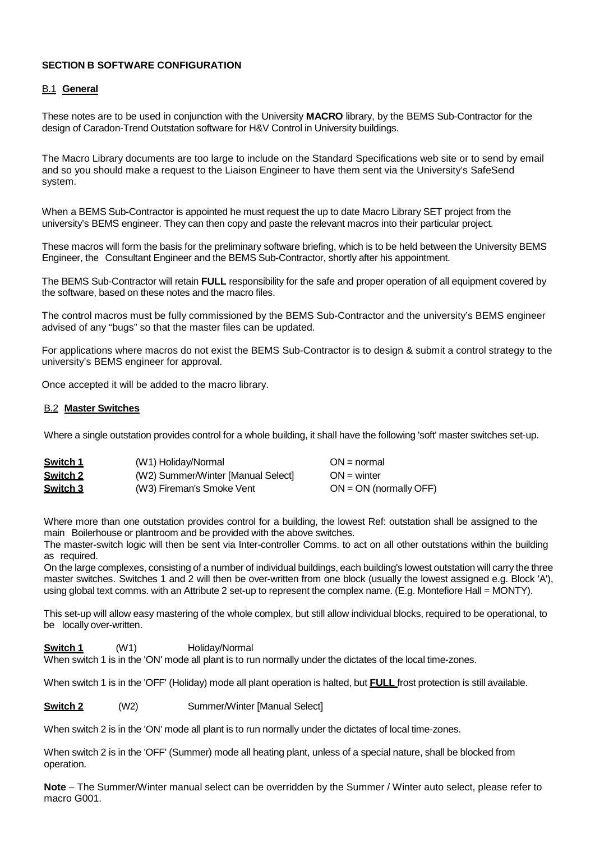## **SECTION B SOFTWARE CONFIGURATION**

## <span id="page-24-0"></span>B.1 **[General](#page-0-1)**

These notes are to be used in conjunction with the University **MACRO** library, by the BEMS Sub-Contractor for the design of Caradon-Trend Outstation software for H&V Control in University buildings.

The Macro Library documents are too large to include on the Standard Specifications web site or to send by email and so you should make a request to the Liaison Engineer to have them sent via the University's SafeSend system.

When a BEMS Sub-Contractor is appointed he must request the up to date Macro Library SET project from the university's BEMS engineer. They can then copy and paste the relevant macros into their particular project.

These macros will form the basis for the preliminary software briefing, which is to be held between the University BEMS Engineer, the Consultant Engineer and the BEMS Sub-Contractor, shortly after his appointment.

The BEMS Sub-Contractor will retain **FULL** responsibility for the safe and proper operation of all equipment covered by the software, based on these notes and the macro files.

The control macros must be fully commissioned by the BEMS Sub-Contractor and the university's BEMS engineer advised of any "bugs" so that the master files can be updated.

For applications where macros do not exist the BEMS Sub-Contractor is to design & submit a control strategy to the university's BEMS engineer for approval.

Once accepted it will be added to the macro library.

#### <span id="page-24-1"></span>B.2 **Master [Switches](#page-0-1)**

Where a single outstation provides control for a whole building, it shall have the following 'soft' master switches set-up.

| Switch 1 | (W1) Holiday/Normal                | $ON = normal$            |
|----------|------------------------------------|--------------------------|
| Switch 2 | (W2) Summer/Winter [Manual Select] | $ON = winter$            |
| Switch 3 | (W3) Fireman's Smoke Vent          | $ON = ON$ (normally OFF) |

Where more than one outstation provides control for a building, the lowest Ref: outstation shall be assigned to the main Boilerhouse or plantroom and be provided with the above switches.

The master-switch logic will then be sent via Inter-controller Comms. to act on all other outstations within the building as required.

On the large complexes, consisting of a number of individual buildings, each building's lowest outstation will carry the three master switches. Switches 1 and 2 will then be over-written from one block (usually the lowest assigned e.g. Block 'A'), using global text comms. with an Attribute 2 set-up to represent the complex name. (E.g. Montefiore Hall = MONTY).

This set-up will allow easy mastering of the whole complex, but still allow individual blocks, required to be operational, to be locally over-written.

**Switch 1** (W1) Holiday/Normal When switch 1 is in the 'ON' mode all plant is to run normally under the dictates of the local time-zones.

When switch 1 is in the 'OFF' (Holiday) mode all plant operation is halted, but **FULL** frost protection is still available.

**Switch 2** (W2) Summer/Winter [Manual Select]

When switch 2 is in the 'ON' mode all plant is to run normally under the dictates of local time-zones.

When switch 2 is in the 'OFF' (Summer) mode all heating plant, unless of a special nature, shall be blocked from operation.

**Note** – The Summer/Winter manual select can be overridden by the Summer / Winter auto select, please refer to macro G001.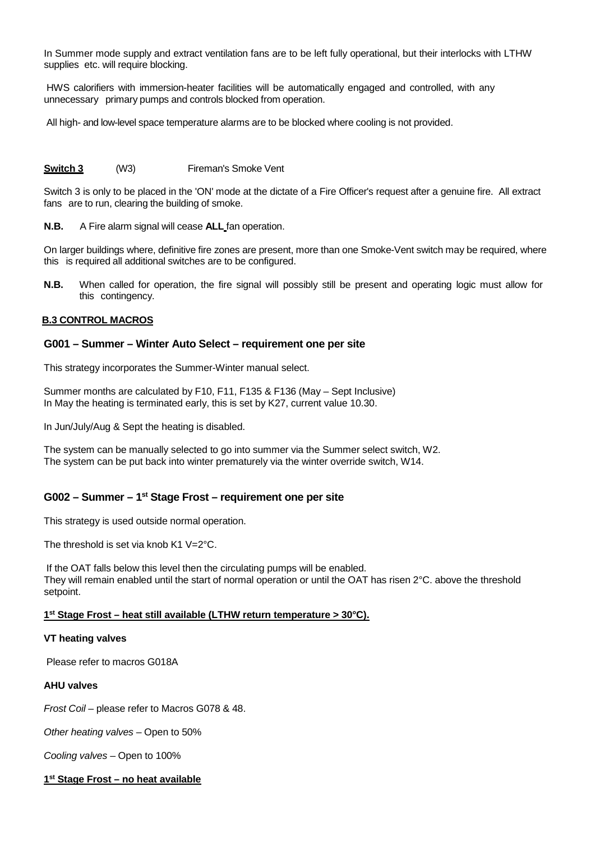In Summer mode supply and extract ventilation fans are to be left fully operational, but their interlocks with LTHW supplies etc. will require blocking.

HWS calorifiers with immersion-heater facilities will be automatically engaged and controlled, with any unnecessary primary pumps and controls blocked from operation.

All high- and low-level space temperature alarms are to be blocked where cooling is not provided.

#### **Switch 3** (W3) Fireman's Smoke Vent

Switch 3 is only to be placed in the 'ON' mode at the dictate of a Fire Officer's request after a genuine fire. All extract fans are to run, clearing the building of smoke.

**N.B.** A Fire alarm signal will cease **ALL** fan operation.

On larger buildings where, definitive fire zones are present, more than one Smoke-Vent switch may be required, where this is required all additional switches are to be configured.

**N.B.** When called for operation, the fire signal will possibly still be present and operating logic must allow for this contingency.

## <span id="page-25-0"></span>**[B.3 CONTROL MACROS](#page-0-1)**

#### **G001 – Summer – Winter Auto Select – requirement one per site**

This strategy incorporates the Summer-Winter manual select.

Summer months are calculated by F10, F11, F135 & F136 (May – Sept Inclusive) In May the heating is terminated early, this is set by K27, current value 10.30.

In Jun/July/Aug & Sept the heating is disabled.

The system can be manually selected to go into summer via the Summer select switch, W2. The system can be put back into winter prematurely via the winter override switch, W14.

## **G002 – Summer – 1st Stage Frost – requirement one per site**

This strategy is used outside normal operation.

The threshold is set via knob K1 V=2°C.

If the OAT falls below this level then the circulating pumps will be enabled. They will remain enabled until the start of normal operation or until the OAT has risen 2°C. above the threshold setpoint.

#### **1st Stage Frost – heat still available (LTHW return temperature > 30°C).**

#### **VT heating valves**

Please refer to macros G018A

#### **AHU valves**

*Frost Coil* – please refer to Macros G078 & 48.

*Other heating valves* – Open to 50%

*Cooling valves* – Open to 100%

**1st Stage Frost – no heat available**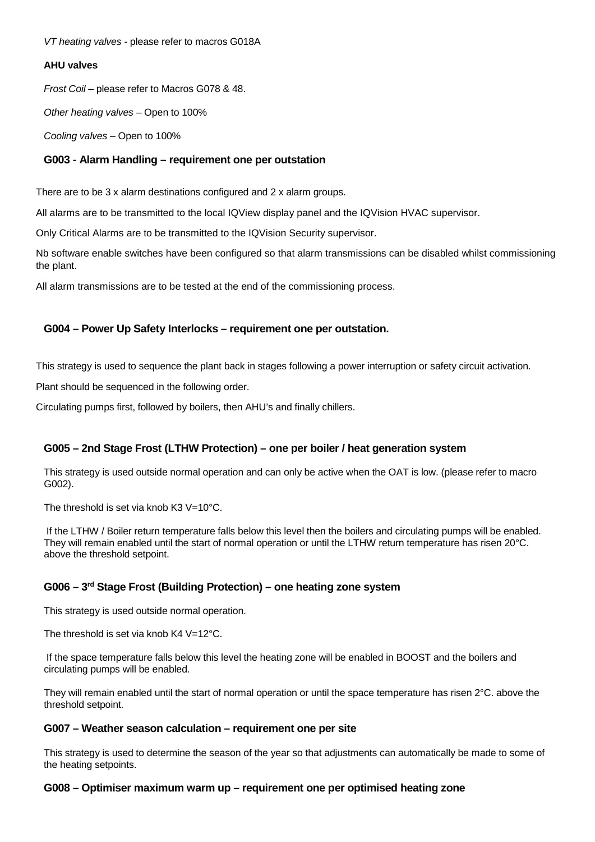*VT heating valves -* please refer to macros G018A

## **AHU valves**

*Frost Coil* – please refer to Macros G078 & 48.

*Other heating valves* – Open to 100%

*Cooling valves* – Open to 100%

## **G003 - Alarm Handling – requirement one per outstation**

There are to be 3 x alarm destinations configured and 2 x alarm groups.

All alarms are to be transmitted to the local IQView display panel and the IQVision HVAC supervisor.

Only Critical Alarms are to be transmitted to the IQVision Security supervisor.

Nb software enable switches have been configured so that alarm transmissions can be disabled whilst commissioning the plant.

All alarm transmissions are to be tested at the end of the commissioning process.

## **G004 – Power Up Safety Interlocks – requirement one per outstation.**

This strategy is used to sequence the plant back in stages following a power interruption or safety circuit activation.

Plant should be sequenced in the following order.

Circulating pumps first, followed by boilers, then AHU's and finally chillers.

## **G005 – 2nd Stage Frost (LTHW Protection) – one per boiler / heat generation system**

This strategy is used outside normal operation and can only be active when the OAT is low. (please refer to macro G002).

The threshold is set via knob K3 V=10°C.

If the LTHW / Boiler return temperature falls below this level then the boilers and circulating pumps will be enabled. They will remain enabled until the start of normal operation or until the LTHW return temperature has risen 20°C. above the threshold setpoint.

## **G006 – 3rd Stage Frost (Building Protection) – one heating zone system**

This strategy is used outside normal operation.

The threshold is set via knob  $K4$  V=12 $^{\circ}$ C.

If the space temperature falls below this level the heating zone will be enabled in BOOST and the boilers and circulating pumps will be enabled.

They will remain enabled until the start of normal operation or until the space temperature has risen 2°C. above the threshold setpoint.

## **G007 – Weather season calculation – requirement one per site**

This strategy is used to determine the season of the year so that adjustments can automatically be made to some of the heating setpoints.

## **G008 – Optimiser maximum warm up – requirement one per optimised heating zone**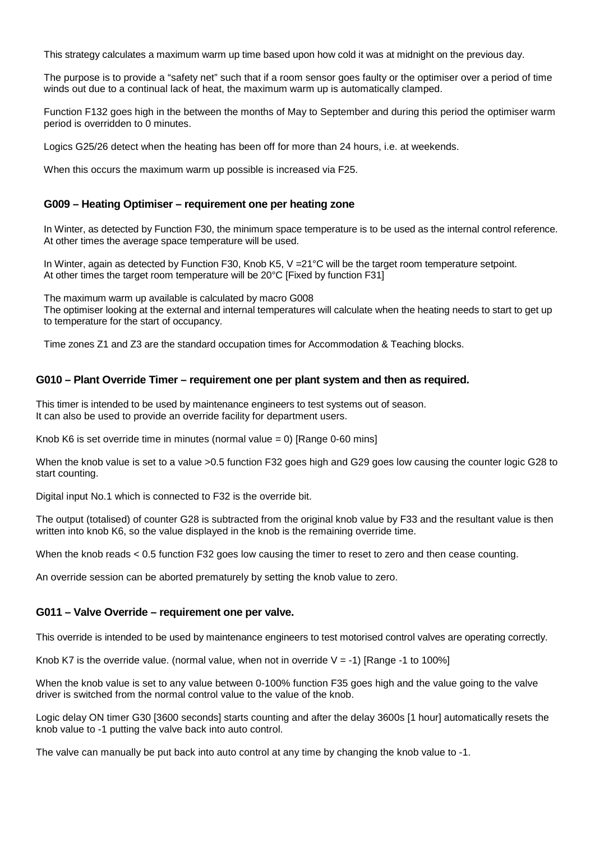This strategy calculates a maximum warm up time based upon how cold it was at midnight on the previous day.

The purpose is to provide a "safety net" such that if a room sensor goes faulty or the optimiser over a period of time winds out due to a continual lack of heat, the maximum warm up is automatically clamped.

Function F132 goes high in the between the months of May to September and during this period the optimiser warm period is overridden to 0 minutes.

Logics G25/26 detect when the heating has been off for more than 24 hours, i.e. at weekends.

When this occurs the maximum warm up possible is increased via F25.

## **G009 – Heating Optimiser – requirement one per heating zone**

In Winter, as detected by Function F30, the minimum space temperature is to be used as the internal control reference. At other times the average space temperature will be used.

In Winter, again as detected by Function F30, Knob K5, V = 21<sup>o</sup>C will be the target room temperature setpoint. At other times the target room temperature will be 20°C [Fixed by function F31]

The maximum warm up available is calculated by macro G008 The optimiser looking at the external and internal temperatures will calculate when the heating needs to start to get up to temperature for the start of occupancy.

Time zones Z1 and Z3 are the standard occupation times for Accommodation & Teaching blocks.

## **G010 – Plant Override Timer – requirement one per plant system and then as required.**

This timer is intended to be used by maintenance engineers to test systems out of season. It can also be used to provide an override facility for department users.

Knob K6 is set override time in minutes (normal value = 0) [Range 0-60 mins]

When the knob value is set to a value >0.5 function F32 goes high and G29 goes low causing the counter logic G28 to start counting.

Digital input No.1 which is connected to F32 is the override bit.

The output (totalised) of counter G28 is subtracted from the original knob value by F33 and the resultant value is then written into knob K6, so the value displayed in the knob is the remaining override time.

When the knob reads < 0.5 function F32 goes low causing the timer to reset to zero and then cease counting.

An override session can be aborted prematurely by setting the knob value to zero.

## **G011 – Valve Override – requirement one per valve.**

This override is intended to be used by maintenance engineers to test motorised control valves are operating correctly.

Knob K7 is the override value. (normal value, when not in override  $V = -1$ ) [Range -1 to 100%]

When the knob value is set to any value between 0-100% function F35 goes high and the value going to the valve driver is switched from the normal control value to the value of the knob.

Logic delay ON timer G30 [3600 seconds] starts counting and after the delay 3600s [1 hour] automatically resets the knob value to -1 putting the valve back into auto control.

The valve can manually be put back into auto control at any time by changing the knob value to -1.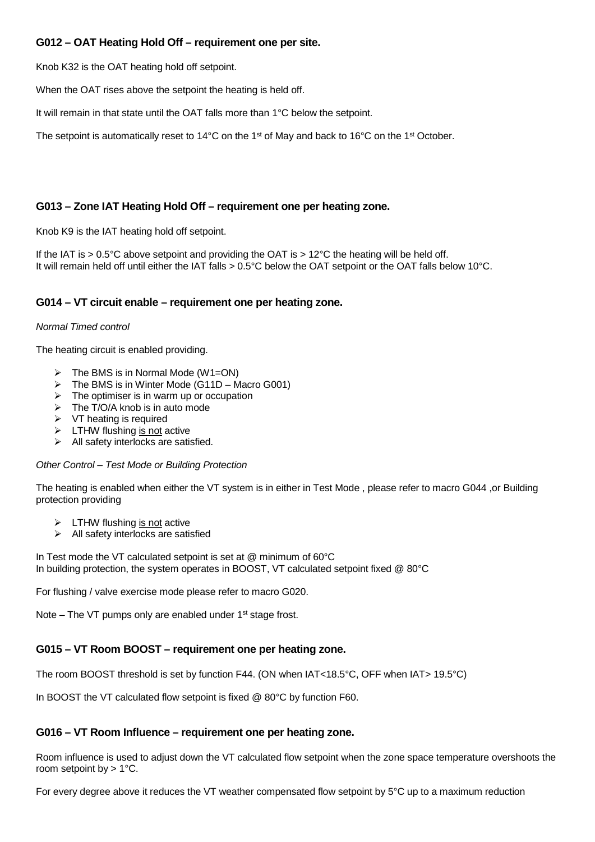## **G012 – OAT Heating Hold Off – requirement one per site.**

Knob K32 is the OAT heating hold off setpoint.

When the OAT rises above the setpoint the heating is held off.

It will remain in that state until the OAT falls more than 1°C below the setpoint.

The setpoint is automatically reset to 14°C on the 1<sup>st</sup> of May and back to 16°C on the 1<sup>st</sup> October.

## **G013 – Zone IAT Heating Hold Off – requirement one per heating zone.**

Knob K9 is the IAT heating hold off setpoint.

If the IAT is  $> 0.5^{\circ}$ C above setpoint and providing the OAT is  $> 12^{\circ}$ C the heating will be held off. It will remain held off until either the IAT falls > 0.5°C below the OAT setpoint or the OAT falls below 10°C.

## **G014 – VT circuit enable – requirement one per heating zone.**

#### *Normal Timed control*

The heating circuit is enabled providing.

- $\triangleright$  The BMS is in Normal Mode (W1=ON)
- $\triangleright$  The BMS is in Winter Mode (G11D Macro G001)
- $\triangleright$  The optimiser is in warm up or occupation
- $\triangleright$  The T/O/A knob is in auto mode
- $\triangleright$  VT heating is required
- $\triangleright$  LTHW flushing is not active
- $\triangleright$  All safety interlocks are satisfied.

#### *Other Control – Test Mode or Building Protection*

The heating is enabled when either the VT system is in either in Test Mode, please refer to macro G044, or Building protection providing

- $\triangleright$  LTHW flushing is not active
- $\triangleright$  All safety interlocks are satisfied

In Test mode the VT calculated setpoint is set at @ minimum of 60°C In building protection, the system operates in BOOST, VT calculated setpoint fixed @ 80°C

For flushing / valve exercise mode please refer to macro G020.

Note – The VT pumps only are enabled under 1<sup>st</sup> stage frost.

## **G015 – VT Room BOOST – requirement one per heating zone.**

The room BOOST threshold is set by function F44. (ON when IAT<18.5°C, OFF when IAT> 19.5°C)

In BOOST the VT calculated flow setpoint is fixed @ 80°C by function F60.

## **G016 – VT Room Influence – requirement one per heating zone.**

Room influence is used to adjust down the VT calculated flow setpoint when the zone space temperature overshoots the room setpoint by  $> 1^{\circ}$ C.

For every degree above it reduces the VT weather compensated flow setpoint by 5°C up to a maximum reduction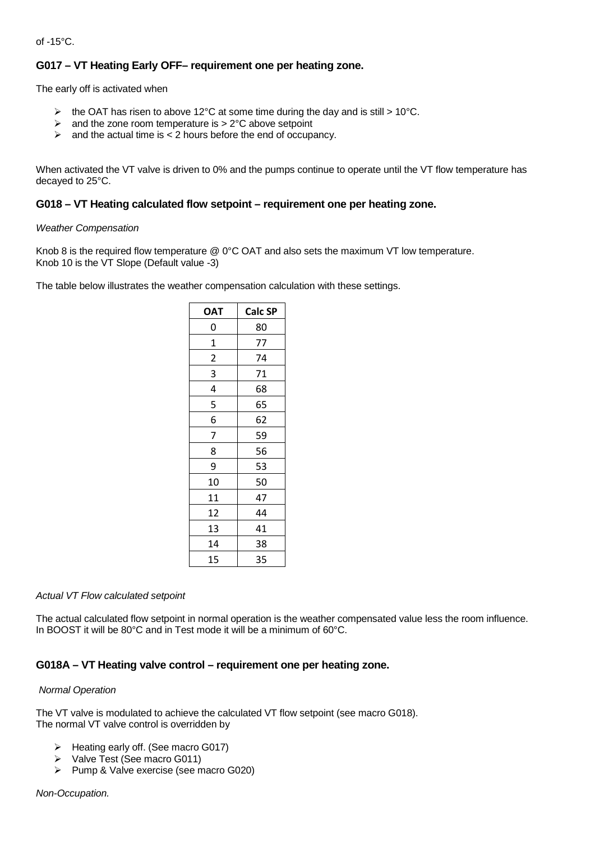of -15°C.

## **G017 – VT Heating Early OFF– requirement one per heating zone.**

The early off is activated when

- $\triangleright$  the OAT has risen to above 12°C at some time during the day and is still > 10°C.
- $\triangleright$  and the zone room temperature is  $> 2^{\circ}$ C above setpoint
- $\triangleright$  and the actual time is < 2 hours before the end of occupancy.

When activated the VT valve is driven to 0% and the pumps continue to operate until the VT flow temperature has decayed to 25°C.

## **G018 – VT Heating calculated flow setpoint – requirement one per heating zone.**

#### *Weather Compensation*

Knob 8 is the required flow temperature @ 0°C OAT and also sets the maximum VT low temperature. Knob 10 is the VT Slope (Default value -3)

The table below illustrates the weather compensation calculation with these settings.

| ОАТ         | Calc SP |
|-------------|---------|
| 0           | 80      |
| $\mathbf 1$ | 77      |
| 2           | 74      |
| 3           | 71      |
| 4           | 68      |
| 5           | 65      |
| 6           | 62      |
| 7           | 59      |
| 8           | 56      |
| 9           | 53      |
| 10          | 50      |
| 11          | 47      |
| 12          | 44      |
| 13          | 41      |
| 14          | 38      |
| 15          | 35      |

#### *Actual VT Flow calculated setpoint*

The actual calculated flow setpoint in normal operation is the weather compensated value less the room influence. In BOOST it will be 80°C and in Test mode it will be a minimum of 60°C.

## **G018A – VT Heating valve control – requirement one per heating zone.**

## *Normal Operation*

The VT valve is modulated to achieve the calculated VT flow setpoint (see macro G018). The normal VT valve control is overridden by

- $\triangleright$  Heating early off. (See macro G017)
- Valve Test (See macro G011)
- $\triangleright$  Pump & Valve exercise (see macro G020)

#### *Non-Occupation.*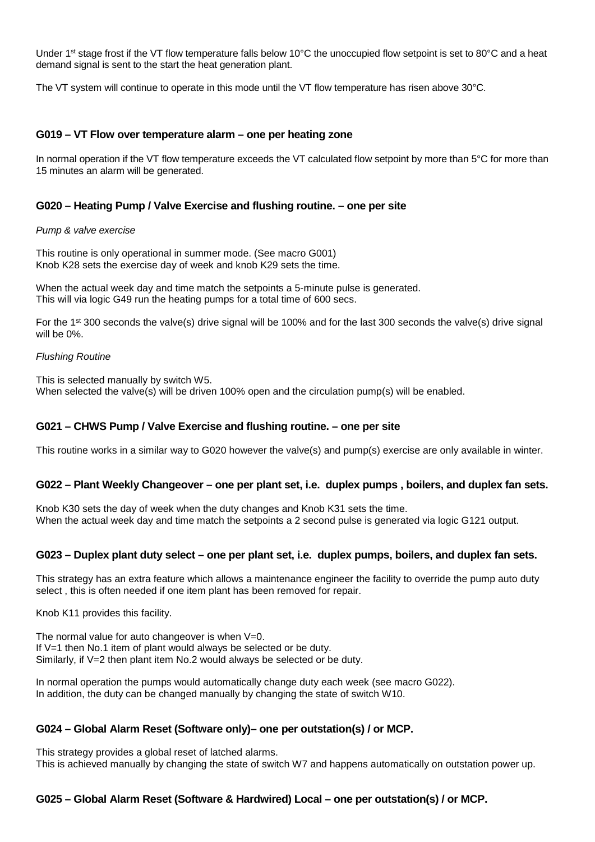Under 1<sup>st</sup> stage frost if the VT flow temperature falls below 10°C the unoccupied flow setpoint is set to 80°C and a heat demand signal is sent to the start the heat generation plant.

The VT system will continue to operate in this mode until the VT flow temperature has risen above 30°C.

## **G019 – VT Flow over temperature alarm – one per heating zone**

In normal operation if the VT flow temperature exceeds the VT calculated flow setpoint by more than 5°C for more than 15 minutes an alarm will be generated.

## **G020 – Heating Pump / Valve Exercise and flushing routine. – one per site**

#### *Pump & valve exercise*

This routine is only operational in summer mode. (See macro G001) Knob K28 sets the exercise day of week and knob K29 sets the time.

When the actual week day and time match the setpoints a 5-minute pulse is generated. This will via logic G49 run the heating pumps for a total time of 600 secs.

For the 1<sup>st</sup> 300 seconds the valve(s) drive signal will be 100% and for the last 300 seconds the valve(s) drive signal will be 0%.

#### *Flushing Routine*

This is selected manually by switch W5. When selected the valve(s) will be driven 100% open and the circulation pump(s) will be enabled.

## **G021 – CHWS Pump / Valve Exercise and flushing routine. – one per site**

This routine works in a similar way to G020 however the valve(s) and pump(s) exercise are only available in winter.

## **G022 – Plant Weekly Changeover – one per plant set, i.e. duplex pumps , boilers, and duplex fan sets.**

Knob K30 sets the day of week when the duty changes and Knob K31 sets the time. When the actual week day and time match the setpoints a 2 second pulse is generated via logic G121 output.

## **G023 – Duplex plant duty select – one per plant set, i.e. duplex pumps, boilers, and duplex fan sets.**

This strategy has an extra feature which allows a maintenance engineer the facility to override the pump auto duty select , this is often needed if one item plant has been removed for repair.

Knob K11 provides this facility.

The normal value for auto changeover is when  $V=0$ . If V=1 then No.1 item of plant would always be selected or be duty. Similarly, if V=2 then plant item No.2 would always be selected or be duty.

In normal operation the pumps would automatically change duty each week (see macro G022). In addition, the duty can be changed manually by changing the state of switch W10.

## **G024 – Global Alarm Reset (Software only)– one per outstation(s) / or MCP.**

This strategy provides a global reset of latched alarms. This is achieved manually by changing the state of switch W7 and happens automatically on outstation power up.

## **G025 – Global Alarm Reset (Software & Hardwired) Local – one per outstation(s) / or MCP.**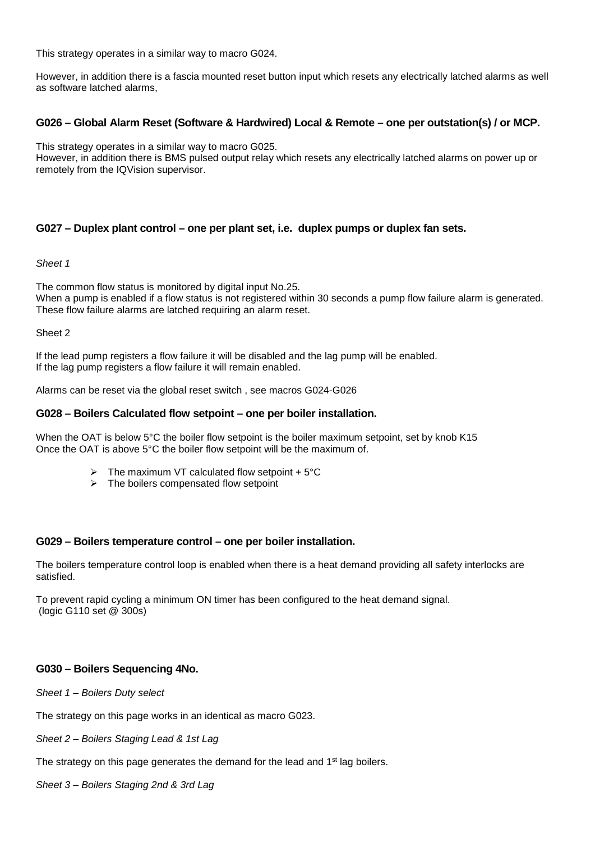This strategy operates in a similar way to macro G024.

However, in addition there is a fascia mounted reset button input which resets any electrically latched alarms as well as software latched alarms,

## **G026 – Global Alarm Reset (Software & Hardwired) Local & Remote – one per outstation(s) / or MCP.**

This strategy operates in a similar way to macro G025.

However, in addition there is BMS pulsed output relay which resets any electrically latched alarms on power up or remotely from the IQVision supervisor.

## **G027 – Duplex plant control – one per plant set, i.e. duplex pumps or duplex fan sets.**

*Sheet 1*

The common flow status is monitored by digital input No.25. When a pump is enabled if a flow status is not registered within 30 seconds a pump flow failure alarm is generated. These flow failure alarms are latched requiring an alarm reset.

Sheet 2

If the lead pump registers a flow failure it will be disabled and the lag pump will be enabled. If the lag pump registers a flow failure it will remain enabled.

Alarms can be reset via the global reset switch , see macros G024-G026

## **G028 – Boilers Calculated flow setpoint – one per boiler installation.**

When the OAT is below 5°C the boiler flow setpoint is the boiler maximum setpoint, set by knob K15 Once the OAT is above 5°C the boiler flow setpoint will be the maximum of.

- $\triangleright$  The maximum VT calculated flow setpoint + 5°C
- $\triangleright$  The boilers compensated flow setpoint

## **G029 – Boilers temperature control – one per boiler installation.**

The boilers temperature control loop is enabled when there is a heat demand providing all safety interlocks are satisfied.

To prevent rapid cycling a minimum ON timer has been configured to the heat demand signal. (logic G110 set @ 300s)

## **G030 – Boilers Sequencing 4No.**

*Sheet 1 – Boilers Duty select*

The strategy on this page works in an identical as macro G023.

*Sheet 2 – Boilers Staging Lead & 1st Lag*

The strategy on this page generates the demand for the lead and 1<sup>st</sup> lag boilers.

*Sheet 3 – Boilers Staging 2nd & 3rd Lag*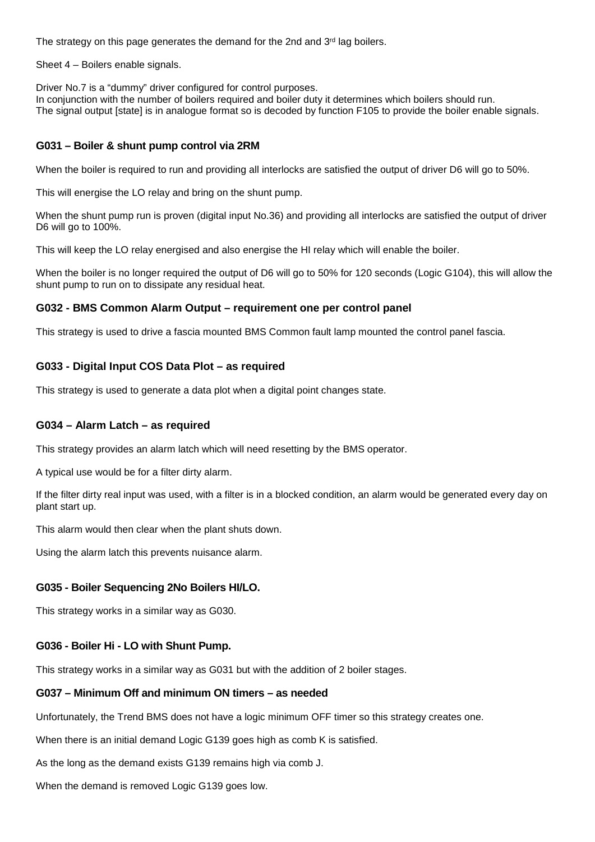The strategy on this page generates the demand for the 2nd and  $3<sup>rd</sup>$  lag boilers.

Sheet 4 – Boilers enable signals.

Driver No.7 is a "dummy" driver configured for control purposes.

In conjunction with the number of boilers required and boiler duty it determines which boilers should run. The signal output [state] is in analogue format so is decoded by function F105 to provide the boiler enable signals.

## **G031 – Boiler & shunt pump control via 2RM**

When the boiler is required to run and providing all interlocks are satisfied the output of driver D6 will go to 50%.

This will energise the LO relay and bring on the shunt pump.

When the shunt pump run is proven (digital input No.36) and providing all interlocks are satisfied the output of driver D6 will go to 100%.

This will keep the LO relay energised and also energise the HI relay which will enable the boiler.

When the boiler is no longer required the output of D6 will go to 50% for 120 seconds (Logic G104), this will allow the shunt pump to run on to dissipate any residual heat.

## **G032 - BMS Common Alarm Output – requirement one per control panel**

This strategy is used to drive a fascia mounted BMS Common fault lamp mounted the control panel fascia.

## **G033 - Digital Input COS Data Plot – as required**

This strategy is used to generate a data plot when a digital point changes state.

## **G034 – Alarm Latch – as required**

This strategy provides an alarm latch which will need resetting by the BMS operator.

A typical use would be for a filter dirty alarm.

If the filter dirty real input was used, with a filter is in a blocked condition, an alarm would be generated every day on plant start up.

This alarm would then clear when the plant shuts down.

Using the alarm latch this prevents nuisance alarm.

## **G035 - Boiler Sequencing 2No Boilers HI/LO.**

This strategy works in a similar way as G030.

## **G036 - Boiler Hi - LO with Shunt Pump.**

This strategy works in a similar way as G031 but with the addition of 2 boiler stages.

## **G037 – Minimum Off and minimum ON timers – as needed**

Unfortunately, the Trend BMS does not have a logic minimum OFF timer so this strategy creates one.

When there is an initial demand Logic G139 goes high as comb K is satisfied.

As the long as the demand exists G139 remains high via comb J.

When the demand is removed Logic G139 goes low.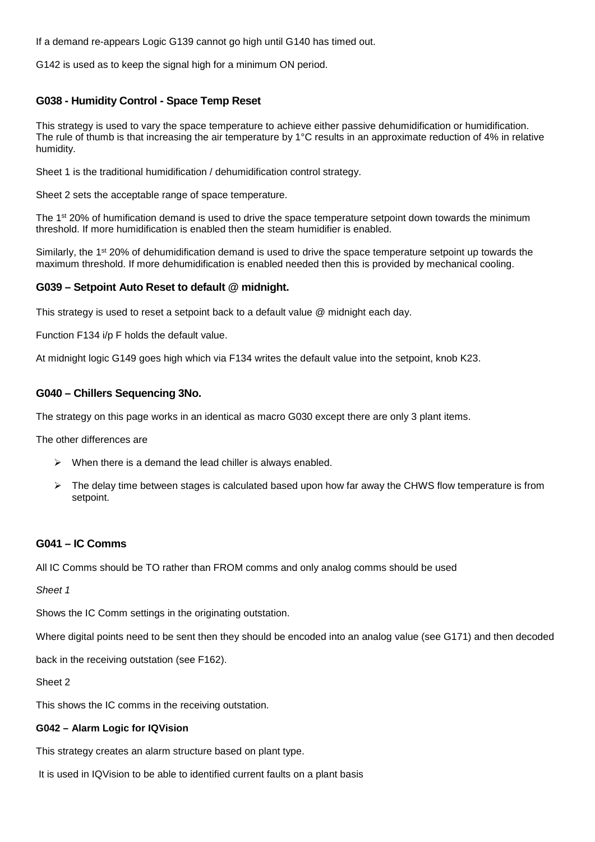If a demand re-appears Logic G139 cannot go high until G140 has timed out.

G142 is used as to keep the signal high for a minimum ON period.

## **G038 - Humidity Control - Space Temp Reset**

This strategy is used to vary the space temperature to achieve either passive dehumidification or humidification. The rule of thumb is that increasing the air temperature by 1°C results in an approximate reduction of 4% in relative humidity.

Sheet 1 is the traditional humidification / dehumidification control strategy.

Sheet 2 sets the acceptable range of space temperature.

The 1<sup>st</sup> 20% of humification demand is used to drive the space temperature setpoint down towards the minimum threshold. If more humidification is enabled then the steam humidifier is enabled.

Similarly, the 1<sup>st</sup> 20% of dehumidification demand is used to drive the space temperature setpoint up towards the maximum threshold. If more dehumidification is enabled needed then this is provided by mechanical cooling.

## **G039 – Setpoint Auto Reset to default @ midnight.**

This strategy is used to reset a setpoint back to a default value @ midnight each day.

Function F134 i/p F holds the default value.

At midnight logic G149 goes high which via F134 writes the default value into the setpoint, knob K23.

#### **G040 – Chillers Sequencing 3No.**

The strategy on this page works in an identical as macro G030 except there are only 3 plant items.

The other differences are

- $\triangleright$  When there is a demand the lead chiller is always enabled.
- The delay time between stages is calculated based upon how far away the CHWS flow temperature is from setpoint.

## **G041 – IC Comms**

All IC Comms should be TO rather than FROM comms and only analog comms should be used

*Sheet 1*

Shows the IC Comm settings in the originating outstation.

Where digital points need to be sent then they should be encoded into an analog value (see G171) and then decoded

back in the receiving outstation (see F162).

Sheet 2

This shows the IC comms in the receiving outstation.

#### **G042 – Alarm Logic for IQVision**

This strategy creates an alarm structure based on plant type.

It is used in IQVision to be able to identified current faults on a plant basis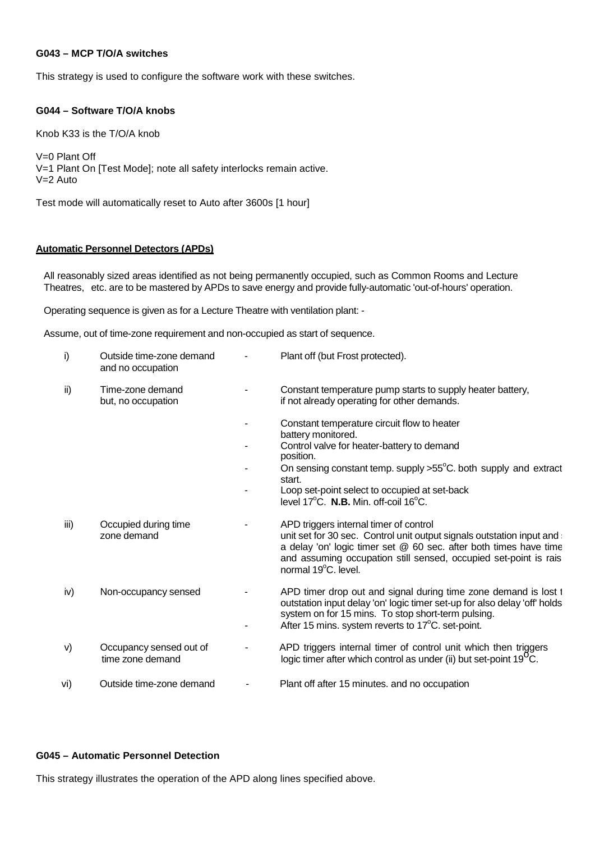#### **G043 – MCP T/O/A switches**

This strategy is used to configure the software work with these switches.

#### **G044 – Software T/O/A knobs**

Knob K33 is the T/O/A knob

V=0 Plant Off V=1 Plant On [Test Mode]; note all safety interlocks remain active. V=2 Auto

Test mode will automatically reset to Auto after 3600s [1 hour]

#### **Automatic Personnel Detectors (APDs)**

All reasonably sized areas identified as not being permanently occupied, such as Common Rooms and Lecture Theatres, etc. are to be mastered by APDs to save energy and provide fully-automatic 'out-of-hours' operation.

Operating sequence is given as for a Lecture Theatre with ventilation plant: -

Assume, out of time-zone requirement and non-occupied as start of sequence.

| i)   | Outside time-zone demand<br>and no occupation | Plant off (but Frost protected).                                                                                                                                                                                                                                                |
|------|-----------------------------------------------|---------------------------------------------------------------------------------------------------------------------------------------------------------------------------------------------------------------------------------------------------------------------------------|
| ii)  | Time-zone demand<br>but, no occupation        | Constant temperature pump starts to supply heater battery,<br>if not already operating for other demands.                                                                                                                                                                       |
|      |                                               | Constant temperature circuit flow to heater<br>battery monitored.                                                                                                                                                                                                               |
|      |                                               | Control valve for heater-battery to demand<br>position.                                                                                                                                                                                                                         |
|      |                                               | On sensing constant temp. supply $>55^{\circ}$ C. both supply and extract<br>start.                                                                                                                                                                                             |
|      |                                               | Loop set-point select to occupied at set-back<br>level $17^{\circ}$ C. N.B. Min. off-coil $16^{\circ}$ C.                                                                                                                                                                       |
| iii) | Occupied during time<br>zone demand           | APD triggers internal timer of control<br>unit set for 30 sec. Control unit output signals outstation input and<br>a delay 'on' logic timer set @ 60 sec. after both times have time<br>and assuming occupation still sensed, occupied set-point is rais<br>normal 19°C. level. |
| iv)  | Non-occupancy sensed                          | APD timer drop out and signal during time zone demand is lost t<br>outstation input delay 'on' logic timer set-up for also delay 'off' holds<br>system on for 15 mins. To stop short-term pulsing.<br>After 15 mins. system reverts to 17°C. set-point.                         |
| V)   | Occupancy sensed out of<br>time zone demand   | APD triggers internal timer of control unit which then triggers<br>logic timer after which control as under (ii) but set-point 19 <sup>0</sup> C.                                                                                                                               |
| vi)  | Outside time-zone demand                      | Plant off after 15 minutes. and no occupation                                                                                                                                                                                                                                   |

#### **G045 – Automatic Personnel Detection**

This strategy illustrates the operation of the APD along lines specified above.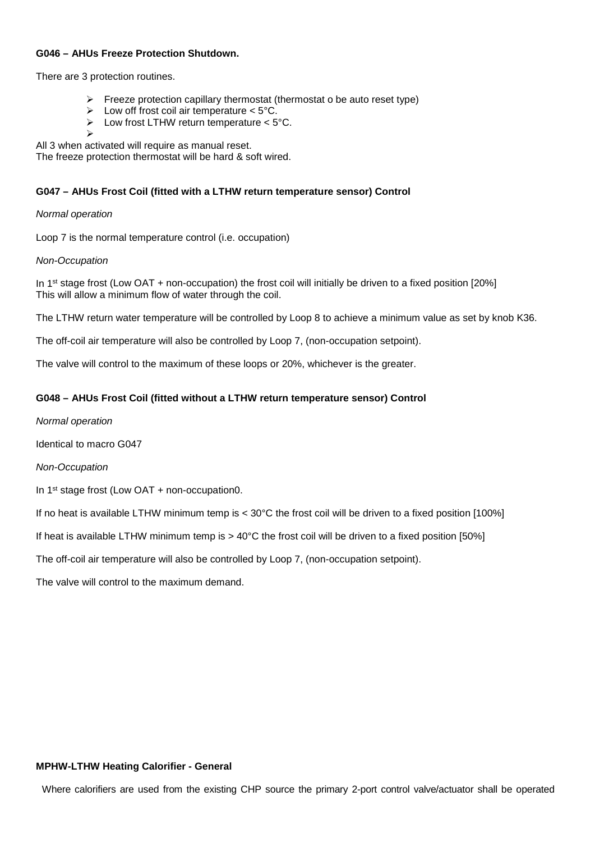#### **G046 – AHUs Freeze Protection Shutdown.**

There are 3 protection routines.

- $\triangleright$  Freeze protection capillary thermostat (thermostat o be auto reset type)
- $\triangleright$  Low off frost coil air temperature < 5°C.
- $\triangleright$  Low frost LTHW return temperature < 5°C.
- $\triangleright$

All 3 when activated will require as manual reset.

The freeze protection thermostat will be hard & soft wired.

## **G047 – AHUs Frost Coil (fitted with a LTHW return temperature sensor) Control**

*Normal operation* 

Loop 7 is the normal temperature control (i.e. occupation)

#### *Non-Occupation*

In 1<sup>st</sup> stage frost (Low OAT + non-occupation) the frost coil will initially be driven to a fixed position [20%] This will allow a minimum flow of water through the coil.

The LTHW return water temperature will be controlled by Loop 8 to achieve a minimum value as set by knob K36.

The off-coil air temperature will also be controlled by Loop 7, (non-occupation setpoint).

The valve will control to the maximum of these loops or 20%, whichever is the greater.

## **G048 – AHUs Frost Coil (fitted without a LTHW return temperature sensor) Control**

*Normal operation* 

Identical to macro G047

*Non-Occupation*

In 1st stage frost (Low OAT + non-occupation0.

If no heat is available LTHW minimum temp is < 30°C the frost coil will be driven to a fixed position [100%]

If heat is available LTHW minimum temp is > 40°C the frost coil will be driven to a fixed position [50%]

The off-coil air temperature will also be controlled by Loop 7, (non-occupation setpoint).

The valve will control to the maximum demand.

#### **MPHW-LTHW Heating Calorifier - General**

Where calorifiers are used from the existing CHP source the primary 2-port control valve/actuator shall be operated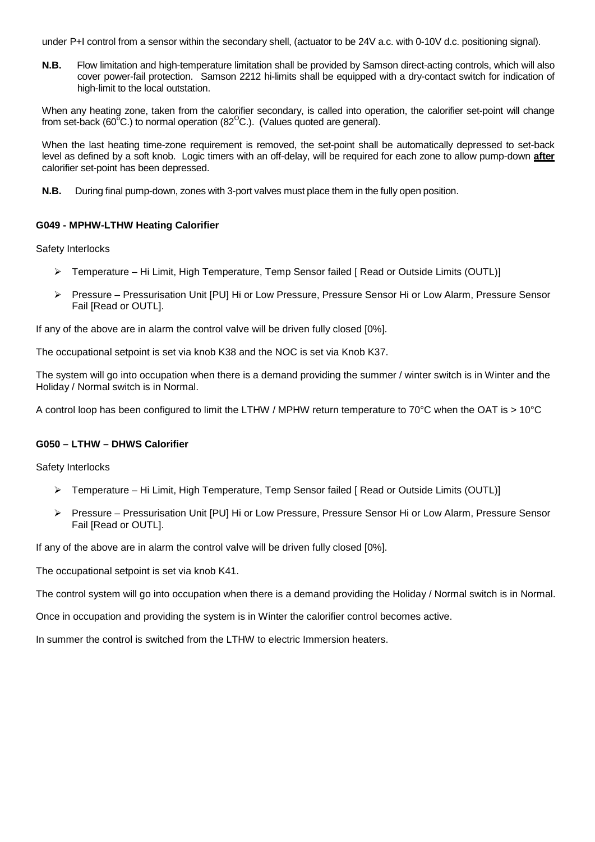under P+I control from a sensor within the secondary shell, (actuator to be 24V a.c. with 0-10V d.c. positioning signal).

**N.B.** Flow limitation and high-temperature limitation shall be provided by Samson direct-acting controls, which will also cover power-fail protection. Samson 2212 hi-limits shall be equipped with a dry-contact switch for indication of high-limit to the local outstation.

When any heating zone, taken from the calorifier secondary, is called into operation, the calorifier set-point will change from set-back (60 $\mathrm{^{\circ}C}$ .) to normal operation (82 $\mathrm{^{\circ}C}$ .). (Values quoted are general).

When the last heating time-zone requirement is removed, the set-point shall be automatically depressed to set-back level as defined by a soft knob. Logic timers with an off-delay, will be required for each zone to allow pump-down **after** calorifier set-point has been depressed.

**N.B.** During final pump-down, zones with 3-port valves must place them in the fully open position.

## **G049 - MPHW-LTHW Heating Calorifier**

Safety Interlocks

- Temperature Hi Limit, High Temperature, Temp Sensor failed [ Read or Outside Limits (OUTL)]
- ▶ Pressure Pressurisation Unit [PU] Hi or Low Pressure, Pressure Sensor Hi or Low Alarm, Pressure Sensor Fail [Read or OUTL].

If any of the above are in alarm the control valve will be driven fully closed [0%].

The occupational setpoint is set via knob K38 and the NOC is set via Knob K37.

The system will go into occupation when there is a demand providing the summer / winter switch is in Winter and the Holiday / Normal switch is in Normal.

A control loop has been configured to limit the LTHW / MPHW return temperature to 70°C when the OAT is > 10°C

## **G050 – LTHW – DHWS Calorifier**

Safety Interlocks

- Temperature Hi Limit, High Temperature, Temp Sensor failed [ Read or Outside Limits (OUTL)]
- Pressure Pressurisation Unit [PU] Hi or Low Pressure, Pressure Sensor Hi or Low Alarm, Pressure Sensor Fail [Read or OUTL].

If any of the above are in alarm the control valve will be driven fully closed [0%].

The occupational setpoint is set via knob K41.

The control system will go into occupation when there is a demand providing the Holiday / Normal switch is in Normal.

Once in occupation and providing the system is in Winter the calorifier control becomes active.

<span id="page-36-0"></span>In summer the control is switched from the LTHW to electric Immersion heaters.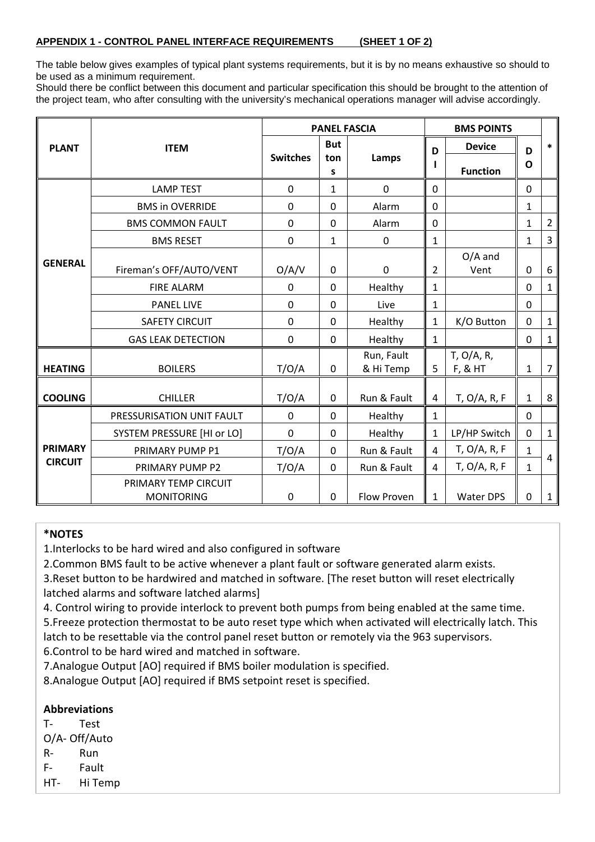## **APPENDIX 1 - [CONTROL PANEL INTERFACE REQUIREMENTS](#page-0-0) (SHEET 1 OF 2)**

The table below gives examples of typical plant systems requirements, but it is by no means exhaustive so should to be used as a minimum requirement.

Should there be conflict between this document and particular specification this should be brought to the attention of the project team, who after consulting with the university's mechanical operations manager will advise accordingly.

|                |                                           | <b>PANEL FASCIA</b> |                |                         |                | <b>BMS POINTS</b>        |                  |                |
|----------------|-------------------------------------------|---------------------|----------------|-------------------------|----------------|--------------------------|------------------|----------------|
| <b>PLANT</b>   | <b>ITEM</b>                               |                     | <b>But</b>     |                         | D              | <b>Device</b>            | D                | $\ast$         |
|                |                                           | <b>Switches</b>     | ton<br>S       | Lamps                   |                | <b>Function</b>          | O                |                |
|                | <b>LAMP TEST</b>                          | 0                   | 1              | 0                       | $\mathbf 0$    |                          | $\mathbf 0$      |                |
|                | <b>BMS in OVERRIDE</b>                    | 0                   | 0              | Alarm                   | 0              |                          | $\mathbf{1}$     |                |
|                | <b>BMS COMMON FAULT</b>                   | 0                   | 0              | Alarm                   | 0              |                          | 1                | $\overline{2}$ |
|                | <b>BMS RESET</b>                          | 0                   | $\mathbf{1}$   | $\pmb{0}$               | $\mathbf{1}$   |                          | $\mathbf{1}$     | 3              |
| <b>GENERAL</b> | Fireman's OFF/AUTO/VENT                   | O/A/V               | $\mathbf 0$    | $\mathbf 0$             | $\overline{2}$ | $O/A$ and<br>Vent        | $\boldsymbol{0}$ | 6              |
|                | <b>FIRE ALARM</b>                         | 0                   | 0              | Healthy                 | $\mathbf{1}$   |                          | $\mathbf 0$      | $\mathbf{1}$   |
|                | <b>PANEL LIVE</b>                         | 0                   | $\mathbf 0$    | Live                    | $\mathbf{1}$   |                          | 0                |                |
|                | <b>SAFETY CIRCUIT</b>                     | 0                   | 0              | Healthy                 | $\mathbf{1}$   | K/O Button               | 0                | $\mathbf{1}$   |
|                | <b>GAS LEAK DETECTION</b>                 | 0                   | $\overline{0}$ | Healthy                 | $\mathbf{1}$   |                          | $\mathbf 0$      | $\mathbf{1}$   |
| <b>HEATING</b> | <b>BOILERS</b>                            | T/O/A               | 0              | Run, Fault<br>& Hi Temp | 5              | $T$ , O/A, R,<br>F, & HT | 1                | $\overline{7}$ |
| <b>COOLING</b> | <b>CHILLER</b>                            | T/O/A               | $\mathbf 0$    | Run & Fault             | 4              | T, O/A, R, F             | $\mathbf{1}$     | 8              |
|                | PRESSURISATION UNIT FAULT                 | 0                   | $\mathbf 0$    | Healthy                 | $\mathbf{1}$   |                          | $\mathbf 0$      |                |
| <b>PRIMARY</b> | <b>SYSTEM PRESSURE [HI or LO]</b>         | 0                   | 0              | Healthy                 | $\mathbf{1}$   | LP/HP Switch             | $\mathbf 0$      | $\mathbf{1}$   |
|                | PRIMARY PUMP P1                           | T/O/A               | $\mathbf 0$    | Run & Fault             | $\overline{4}$ | T, O/A, R, F             | 1                |                |
| <b>CIRCUIT</b> | PRIMARY PUMP P2                           | T/O/A               | 0              | Run & Fault             | 4              | $T$ , O/A, R, F          | $\mathbf{1}$     | 4              |
|                | PRIMARY TEMP CIRCUIT<br><b>MONITORING</b> | $\mathbf 0$         | $\mathbf 0$    | Flow Proven             | $\mathbf{1}$   | <b>Water DPS</b>         | $\pmb{0}$        | $\mathbf{1}$   |

## **\*NOTES**

1.Interlocks to be hard wired and also configured in software

2.Common BMS fault to be active whenever a plant fault or software generated alarm exists.

3.Reset button to be hardwired and matched in software. [The reset button will reset electrically latched alarms and software latched alarms]

4. Control wiring to provide interlock to prevent both pumps from being enabled at the same time.

5.Freeze protection thermostat to be auto reset type which when activated will electrically latch. This latch to be resettable via the control panel reset button or remotely via the 963 supervisors.

6.Control to be hard wired and matched in software.

7.Analogue Output [AO] required if BMS boiler modulation is specified.

8.Analogue Output [AO] required if BMS setpoint reset is specified.

## **Abbreviations**

T- Test

O/A- Off/Auto

- R- Run
- F- Fault

HT- Hi Temp